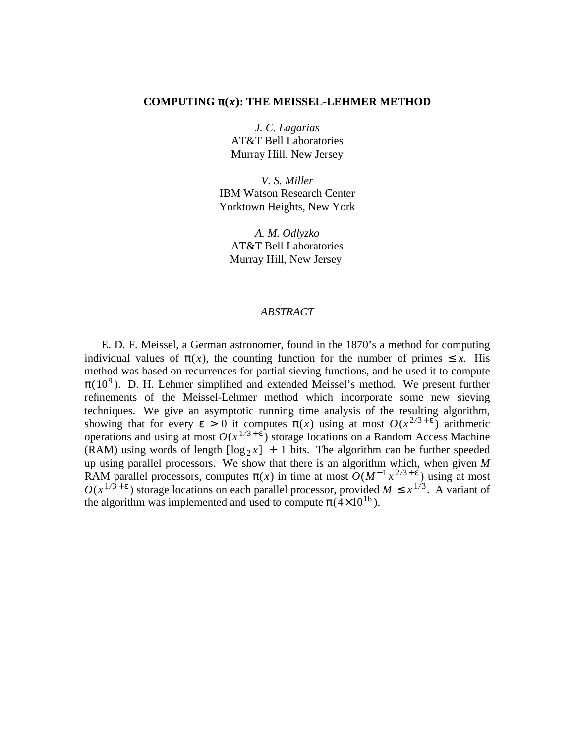# COMPUTING  $\pi(x)$ : THE MEISSEL-LEHMER METHOD

*J. C. Lagarias* AT&T Bell Laboratories Murray Hill, New Jersey

*V. S. Miller* IBM Watson Research Center Yorktown Heights, New York

*A. M. Odlyzko* AT&T Bell Laboratories Murray Hill, New Jersey

# *ABSTRACT*

E. D. F. Meissel, a German astronomer, found in the 1870's a method for computing individual values of  $\pi(x)$ , the counting function for the number of primes  $\leq x$ . His method was based on recurrences for partial sieving functions, and he used it to compute  $\pi(10^9)$ . D. H. Lehmer simplified and extended Meissel's method. We present further refinements of the Meissel-Lehmer method which incorporate some new sieving techniques. We give an asymptotic running time analysis of the resulting algorithm, showing that for every  $\varepsilon > 0$  it computes  $\pi(x)$  using at most  $O(x^{2/3+\varepsilon})$  arithmetic operations and using at most  $O(x^{1/3 + \epsilon})$  storage locations on a Random Access Machine (RAM) using words of length  $\lceil \log_2 x \rceil + 1$  bits. The algorithm can be further speeded up using parallel processors. We show that there is an algorithm which, when given *M* RAM parallel processors, computes  $\pi(x)$  in time at most  $O(M^{-1}x^{2/3+\epsilon})$  using at most  $O(x^{1/3+\epsilon})$  storage locations on each parallel processor, provided  $M \leq x^{1/3}$ . A variant of the algorithm was implemented and used to compute  $\pi$ (4×10<sup>16</sup>).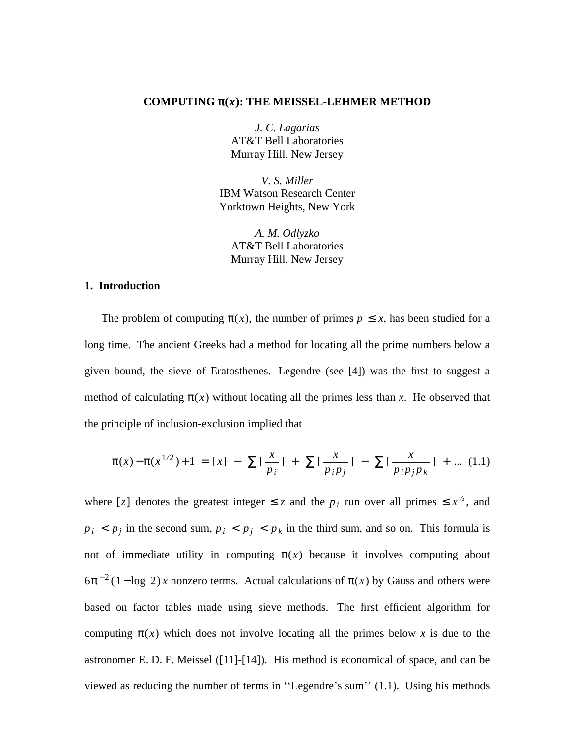#### **COMPUTING** π(*x*)**: THE MEISSEL-LEHMER METHOD**

*J. C. Lagarias* AT&T Bell Laboratories Murray Hill, New Jersey

*V. S. Miller* IBM Watson Research Center Yorktown Heights, New York

*A. M. Odlyzko* AT&T Bell Laboratories Murray Hill, New Jersey

### **1. Introduction**

The problem of computing  $\pi(x)$ , the number of primes  $p \leq x$ , has been studied for a long time. The ancient Greeks had a method for locating all the prime numbers below a given bound, the sieve of Eratosthenes. Legendre (see [4]) was the first to suggest a method of calculating  $\pi(x)$  without locating all the primes less than x. He observed that the principle of inclusion-exclusion implied that

$$
\pi(x) - \pi(x^{1/2}) + 1 = [x] - \sum \left[\frac{x}{p_i}\right] + \sum \left[\frac{x}{p_i p_j}\right] - \sum \left[\frac{x}{p_i p_j p_k}\right] + \dots (1.1)
$$

where [*z*] denotes the greatest integer  $\le z$  and the  $p_i$  run over all primes  $\le x^{\frac{1}{2}}$ , and  $p_i$  <  $p_j$  in the second sum,  $p_i$  <  $p_j$  <  $p_k$  in the third sum, and so on. This formula is not of immediate utility in computing  $\pi(x)$  because it involves computing about  $6\pi^{-2}(1-\log 2)x$  nonzero terms. Actual calculations of  $\pi(x)$  by Gauss and others were based on factor tables made using sieve methods. The first efficient algorithm for computing  $\pi(x)$  which does not involve locating all the primes below x is due to the astronomer E. D. F. Meissel ([11]-[14]). His method is economical of space, and can be viewed as reducing the number of terms in ''Legendre's sum'' (1.1). Using his methods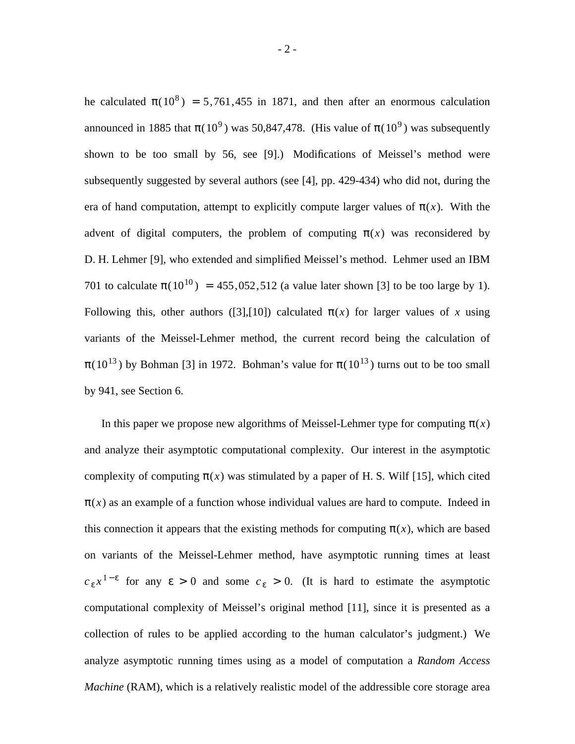he calculated  $\pi(10^8) = 5{,}761{,}455$  in 1871, and then after an enormous calculation announced in 1885 that  $\pi(10^9)$  was 50,847,478. (His value of  $\pi(10^9)$  was subsequently shown to be too small by 56, see [9].) Modifications of Meissel's method were subsequently suggested by several authors (see [4], pp. 429-434) who did not, during the era of hand computation, attempt to explicitly compute larger values of  $\pi(x)$ . With the advent of digital computers, the problem of computing  $\pi(x)$  was reconsidered by D. H. Lehmer [9], who extended and simplified Meissel's method. Lehmer used an IBM 701 to calculate  $\pi(10^{10}) = 455,052,512$  (a value later shown [3] to be too large by 1). Following this, other authors ([3],[10]) calculated  $\pi(x)$  for larger values of x using variants of the Meissel-Lehmer method, the current record being the calculation of  $\pi(10^{13})$  by Bohman [3] in 1972. Bohman's value for  $\pi(10^{13})$  turns out to be too small by 941, see Section 6.

In this paper we propose new algorithms of Meissel-Lehmer type for computing  $\pi(x)$ and analyze their asymptotic computational complexity. Our interest in the asymptotic complexity of computing  $\pi(x)$  was stimulated by a paper of H. S. Wilf [15], which cited  $\pi(x)$  as an example of a function whose individual values are hard to compute. Indeed in this connection it appears that the existing methods for computing  $\pi(x)$ , which are based on variants of the Meissel-Lehmer method, have asymptotic running times at least  $c_{\varepsilon} x^{1-\varepsilon}$  for any  $\varepsilon > 0$  and some  $c_{\varepsilon} > 0$ . (It is hard to estimate the asymptotic computational complexity of Meissel's original method [11], since it is presented as a collection of rules to be applied according to the human calculator's judgment.) We analyze asymptotic running times using as a model of computation a *Random Access Machine* (RAM), which is a relatively realistic model of the addressible core storage area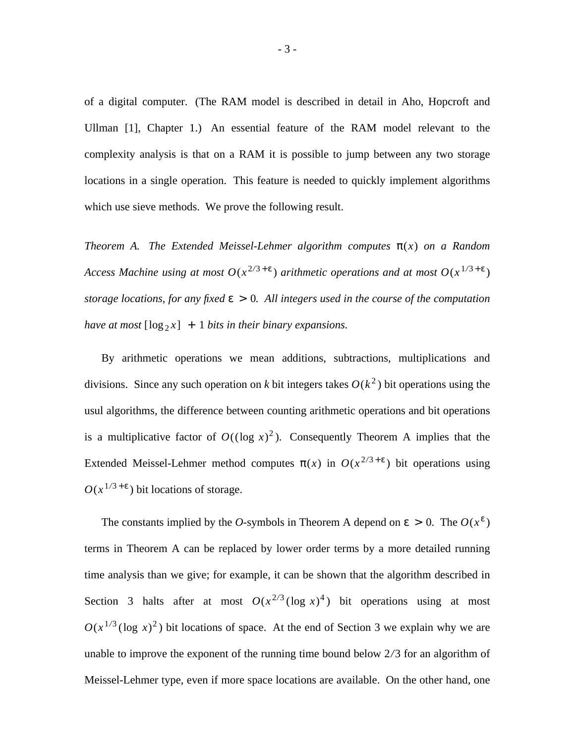of a digital computer. (The RAM model is described in detail in Aho, Hopcroft and Ullman [1], Chapter 1.) An essential feature of the RAM model relevant to the complexity analysis is that on a RAM it is possible to jump between any two storage locations in a single operation. This feature is needed to quickly implement algorithms which use sieve methods. We prove the following result.

*Theorem A. The Extended Meissel-Lehmer algorithm computes* π(*x*) *on a Random Access Machine using at most*  $O(x^{2/3+\epsilon})$  *arithmetic operations and at most*  $O(x^{1/3+\epsilon})$ *storage locations, for any fixed* ε > 0*. All integers used in the course of the computation have at most*  $[\log_2 x] + 1$  *bits in their binary expansions.* 

By arithmetic operations we mean additions, subtractions, multiplications and divisions. Since any such operation on *k* bit integers takes  $O(k^2)$  bit operations using the usul algorithms, the difference between counting arithmetic operations and bit operations is a multiplicative factor of  $O((\log x)^2)$ . Consequently Theorem A implies that the Extended Meissel-Lehmer method computes  $\pi(x)$  in  $O(x^{2/3+\epsilon})$  bit operations using  $O(x^{1/3+\epsilon})$  bit locations of storage.

The constants implied by the *O*-symbols in Theorem A depend on  $\varepsilon > 0$ . The  $O(x^{\varepsilon})$ terms in Theorem A can be replaced by lower order terms by a more detailed running time analysis than we give; for example, it can be shown that the algorithm described in Section 3 halts after at most  $O(x^{2/3} (\log x)^4)$  bit operations using at most  $O(x^{1/3} (\log x)^2)$  bit locations of space. At the end of Section 3 we explain why we are unable to improve the exponent of the running time bound below 2*/*3 for an algorithm of Meissel-Lehmer type, even if more space locations are available. On the other hand, one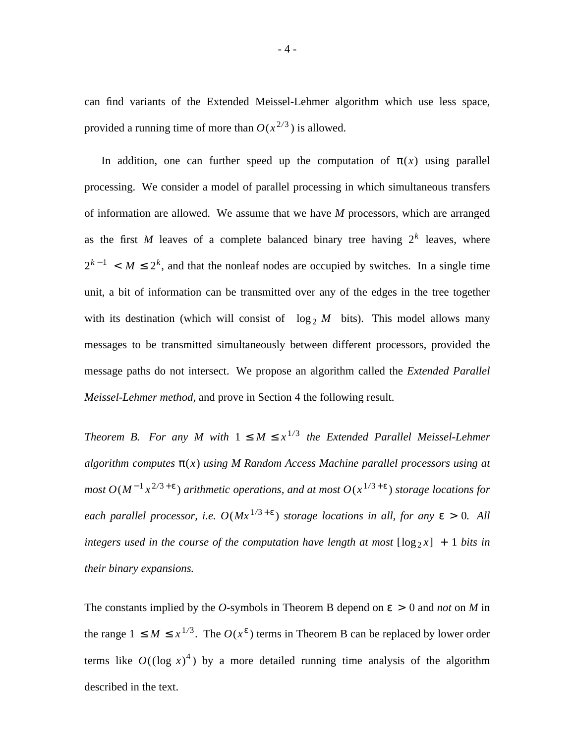can find variants of the Extended Meissel-Lehmer algorithm which use less space, provided a running time of more than  $O(x^{2/3})$  is allowed.

In addition, one can further speed up the computation of  $\pi(x)$  using parallel processing. We consider a model of parallel processing in which simultaneous transfers of information are allowed. We assume that we have *M* processors, which are arranged as the first *M* leaves of a complete balanced binary tree having  $2<sup>k</sup>$  leaves, where  $2^{k-1} < M \leq 2^k$ , and that the nonleaf nodes are occupied by switches. In a single time unit, a bit of information can be transmitted over any of the edges in the tree together with its destination (which will consist of  $\lceil \log_2 M \rceil$  bits). This model allows many messages to be transmitted simultaneously between different processors, provided the message paths do not intersect. We propose an algorithm called the *Extended Parallel Meissel-Lehmer method,* and prove in Section 4 the following result.

*Theorem B. For any M with*  $1 \leq M \leq x^{1/3}$  the Extended Parallel Meissel-Lehmer *algorithm computes* π(*x*) *using M Random Access Machine parallel processors using at most O*(*M*<sup>−</sup> <sup>1</sup> *x* <sup>2</sup>*/*<sup>3</sup> + ε ) *arithmetic operations, and at most O*(*x* <sup>1</sup>*/*<sup>3</sup> + ε ) *storage locations for each parallel processor, i.e.*  $O(Mx^{1/3+\epsilon})$  *storage locations in all, for any*  $\epsilon > 0$ *. All integers used in the course of the computation have length at most*  $[\log_2 x] + 1$  *bits in their binary expansions.*

The constants implied by the *O*-symbols in Theorem B depend on  $\varepsilon > 0$  and *not* on *M* in the range  $1 \leq M \leq x^{1/3}$ . The  $O(x^{\epsilon})$  terms in Theorem B can be replaced by lower order terms like  $O((\log x)^4)$  by a more detailed running time analysis of the algorithm described in the text.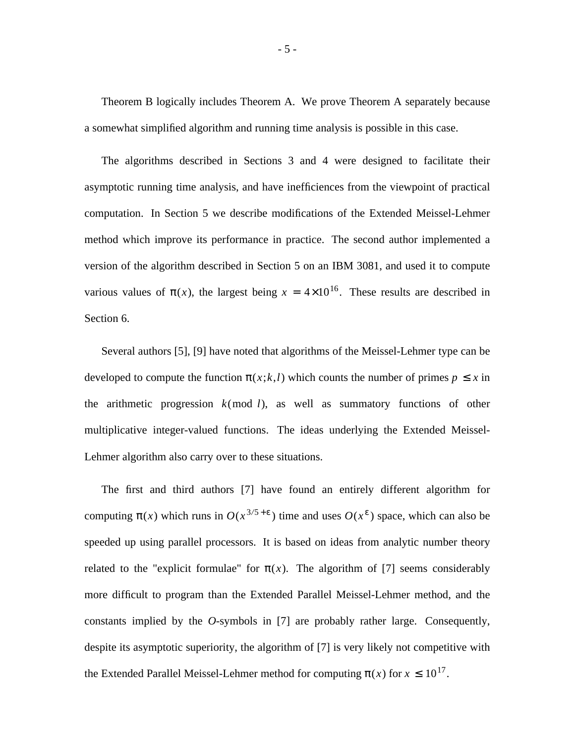Theorem B logically includes Theorem A. We prove Theorem A separately because a somewhat simplified algorithm and running time analysis is possible in this case.

The algorithms described in Sections 3 and 4 were designed to facilitate their asymptotic running time analysis, and have inefficiences from the viewpoint of practical computation. In Section 5 we describe modifications of the Extended Meissel-Lehmer method which improve its performance in practice. The second author implemented a version of the algorithm described in Section 5 on an IBM 3081, and used it to compute various values of  $\pi(x)$ , the largest being  $x = 4 \times 10^{16}$ . These results are described in Section 6.

Several authors [5], [9] have noted that algorithms of the Meissel-Lehmer type can be developed to compute the function  $\pi(x;k,l)$  which counts the number of primes  $p \leq x$  in the arithmetic progression  $k \pmod{l}$ , as well as summatory functions of other multiplicative integer-valued functions. The ideas underlying the Extended Meissel-Lehmer algorithm also carry over to these situations.

The first and third authors [7] have found an entirely different algorithm for computing  $\pi(x)$  which runs in  $O(x^{3/5+\epsilon})$  time and uses  $O(x^{\epsilon})$  space, which can also be speeded up using parallel processors. It is based on ideas from analytic number theory related to the "explicit formulae" for  $\pi(x)$ . The algorithm of [7] seems considerably more difficult to program than the Extended Parallel Meissel-Lehmer method, and the constants implied by the *O*-symbols in [7] are probably rather large. Consequently, despite its asymptotic superiority, the algorithm of [7] is very likely not competitive with the Extended Parallel Meissel-Lehmer method for computing  $\pi(x)$  for  $x \leq 10^{17}$ .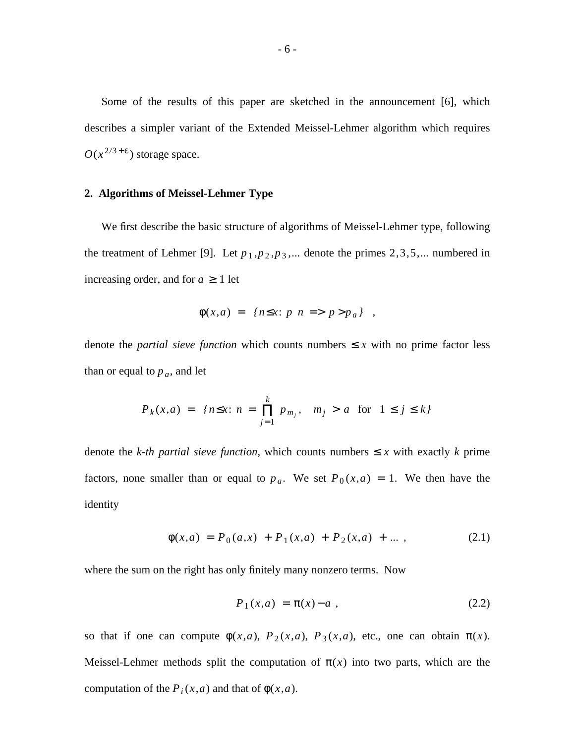Some of the results of this paper are sketched in the announcement [6], which describes a simpler variant of the Extended Meissel-Lehmer algorithm which requires  $O(x^{2/3 + \epsilon})$  storage space.

### **2. Algorithms of Meissel-Lehmer Type**

We first describe the basic structure of algorithms of Meissel-Lehmer type, following the treatment of Lehmer [9]. Let  $p_1, p_2, p_3, \dots$  denote the primes 2,3,5, $\dots$  numbered in increasing order, and for  $a \geq 1$  let

$$
\phi(x,a) = | \{ n \le x : p \mid n \implies p > p_a \} | ,
$$

denote the *partial sieve function* which counts numbers  $\leq x$  with no prime factor less than or equal to  $p_a$ , and let

$$
P_k(x,a) = |n \le x : n = \prod_{j=1}^k p_{m_j}, \quad m_j > a \text{ for } 1 \le j \le k|
$$

denote the *k-th partial sieve function*, which counts numbers  $\leq x$  with exactly *k* prime factors, none smaller than or equal to  $p_a$ . We set  $P_0(x,a) = 1$ . We then have the identity

$$
\phi(x,a) = P_0(a,x) + P_1(x,a) + P_2(x,a) + \dots \,, \tag{2.1}
$$

where the sum on the right has only finitely many nonzero terms. Now

$$
P_1(x,a) = \pi(x) - a \t{,} \t(2.2)
$$

so that if one can compute  $\phi(x,a)$ ,  $P_2(x,a)$ ,  $P_3(x,a)$ , etc., one can obtain  $\pi(x)$ . Meissel-Lehmer methods split the computation of  $\pi(x)$  into two parts, which are the computation of the  $P_i(x,a)$  and that of  $\phi(x,a)$ .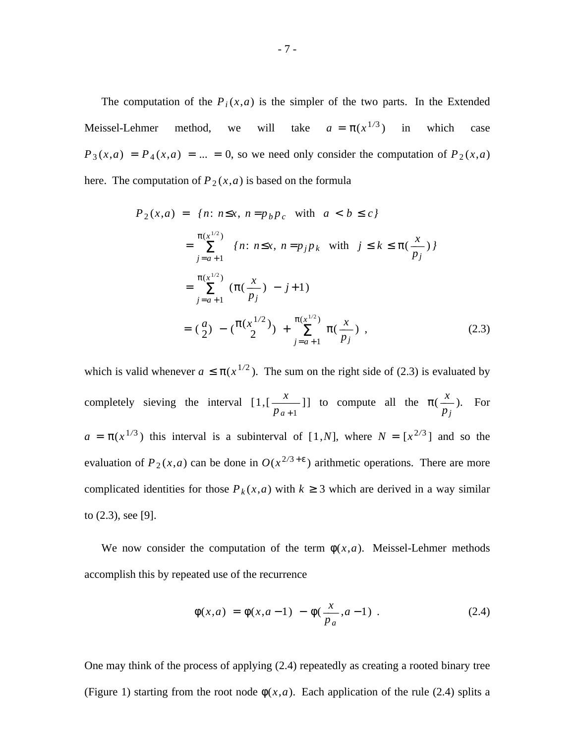The computation of the  $P_i(x,a)$  is the simpler of the two parts. In the Extended Meissel-Lehmer method, we will take  $a = \pi(x^{1/3})$  in which case  $P_3(x,a) = P_4(x,a) = ... = 0$ , so we need only consider the computation of  $P_2(x,a)$ here. The computation of  $P_2(x,a)$  is based on the formula

$$
P_2(x,a) = |{n: n \le x, n = p_b p_c \text{ with } a < b \le c}|\n= \sum_{j=a+1}^{\pi(x^{1/2})} |{n: n \le x, n = p_j p_k \text{ with } j \le k \le \pi(\frac{x}{p_j})}|\n= \sum_{j=a+1}^{\pi(x^{1/2})} (\pi(\frac{x}{p_j}) - j + 1)\n= (\frac{a}{2}) - (\frac{\pi(x^{1/2})}{2}) + \sum_{j=a+1}^{\pi(x^{1/2})} \pi(\frac{x}{p_j}),
$$
\n(2.3)

which is valid whenever  $a \le \pi (x^{1/2})$ . The sum on the right side of (2.3) is evaluated by completely sieving the interval [1,[ *p<sup>a</sup>* <sup>+</sup> <sup>1</sup>  $\frac{x}{x+1}$ ] to compute all the  $\pi(x)$ *pj*  $\frac{x}{x}$ ). For  $a = \pi(x^{1/3})$  this interval is a subinterval of [1,*N*], where  $N = [x^{2/3}]$  and so the evaluation of  $P_2(x,a)$  can be done in  $O(x^{2/3+\epsilon})$  arithmetic operations. There are more complicated identities for those  $P_k(x,a)$  with  $k \geq 3$  which are derived in a way similar to (2.3), see [9].

We now consider the computation of the term  $\phi(x,a)$ . Meissel-Lehmer methods accomplish this by repeated use of the recurrence

$$
\phi(x,a) = \phi(x,a-1) - \phi(\frac{x}{p_a},a-1) . \tag{2.4}
$$

One may think of the process of applying (2.4) repeatedly as creating a rooted binary tree (Figure 1) starting from the root node  $\phi(x,a)$ . Each application of the rule (2.4) splits a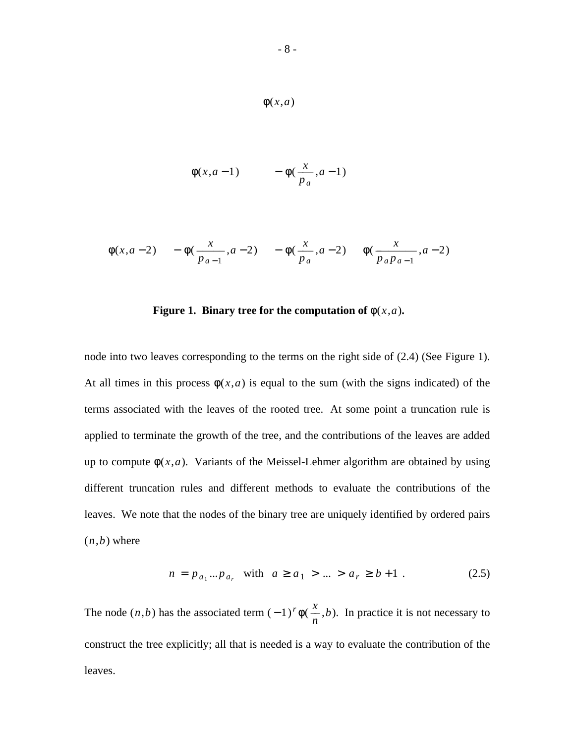$$
\phi(x, a-1) \qquad -\phi(\frac{x}{p_a}, a-1)
$$

$$
\phi(x, a-2)
$$
 -  $\phi(\frac{x}{p_{a-1}}, a-2)$  -  $\phi(\frac{x}{p_a}, a-2)$   $\phi(\frac{x}{p_a p_{a-1}}, a-2)$ 

Figure 1. Binary tree for the computation of 
$$
\phi(x, a)
$$
.

node into two leaves corresponding to the terms on the right side of (2.4) (See Figure 1). At all times in this process  $\phi(x,a)$  is equal to the sum (with the signs indicated) of the terms associated with the leaves of the rooted tree. At some point a truncation rule is applied to terminate the growth of the tree, and the contributions of the leaves are added up to compute  $\phi(x,a)$ . Variants of the Meissel-Lehmer algorithm are obtained by using different truncation rules and different methods to evaluate the contributions of the leaves. We note that the nodes of the binary tree are uniquely identified by ordered pairs  $(n,b)$  where

$$
n = p_{a_1} ... p_{a_r} \quad \text{with} \quad a \ge a_1 > ... > a_r \ge b+1 \tag{2.5}
$$

The node  $(n,b)$  has the associated term  $(-1)^r \phi$ *n*  $\frac{x}{x}$ ,*b*). In practice it is not necessary to construct the tree explicitly; all that is needed is a way to evaluate the contribution of the leaves.

φ(*x*,*a*)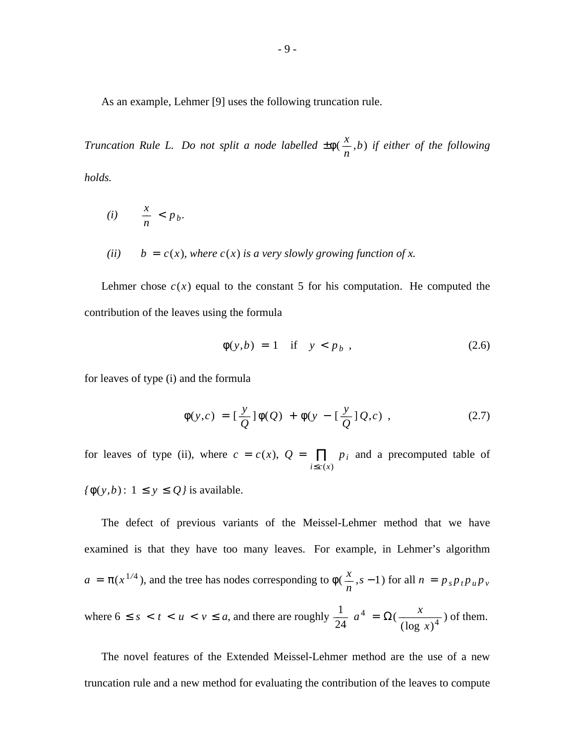As an example, Lehmer [9] uses the following truncation rule.

*Truncation Rule L. Do not split a node labelled* ± φ( *n*  $\frac{x}{x}$ ,*b*) *if either of the following holds.*

$$
(i) \qquad \frac{x}{n} < p_b.
$$

*(ii)*  $b = c(x)$ *, where c(x) is a very slowly growing function of x.* 

Lehmer chose  $c(x)$  equal to the constant 5 for his computation. He computed the contribution of the leaves using the formula

$$
\phi(y,b) = 1 \quad \text{if} \quad y < p_b \tag{2.6}
$$

for leaves of type (i) and the formula

$$
\phi(y,c) = \left[\frac{y}{Q}\right]\phi(Q) + \phi(y - \left[\frac{y}{Q}\right]Q,c) ,\qquad (2.7)
$$

for leaves of type (ii), where  $c = c(x)$ ,  $Q =$  $\prod_{i \leq c(x)} p_i$  and a precomputed table of

 $f\phi(y,b): 1 \le y \le Q$ *j* is available.

The defect of previous variants of the Meissel-Lehmer method that we have examined is that they have too many leaves. For example, in Lehmer's algorithm  $a = \pi(x^{1/4})$ , and the tree has nodes corresponding to  $\phi$  $\frac{x}{n}$ , *s* − 1) for all *n* =  $p_s p_t p_u p_v$ where  $6 \leq s < t < u < v \leq a$ , and there are roughly 24  $\frac{1}{24} a^4 = \Omega$  $\frac{x}{(\log x)^4}$ ) of them.

The novel features of the Extended Meissel-Lehmer method are the use of a new truncation rule and a new method for evaluating the contribution of the leaves to compute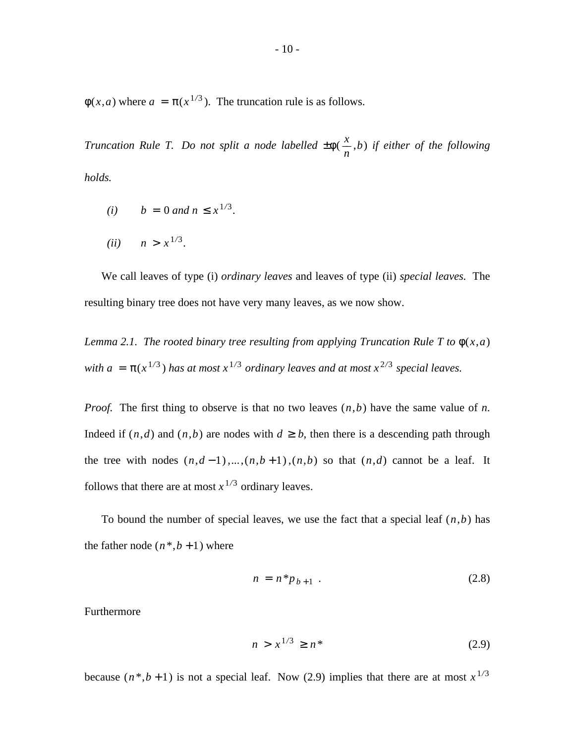$\phi(x,a)$  where  $a = \pi(x^{1/3})$ . The truncation rule is as follows.

*Truncation Rule T. Do not split a node labelled* ± φ( *n*  $\frac{x}{x}$ ,*b*) *if either of the following holds.*

- *(i)*  $b = 0$  *and*  $n \le x^{1/3}$ .
- (*ii*)  $n > x^{1/3}$ .

We call leaves of type (i) *ordinary leaves* and leaves of type (ii) *special leaves.* The resulting binary tree does not have very many leaves, as we now show.

*Lemma 2.1. The rooted binary tree resulting from applying Truncation Rule T to*  $\phi(x,a)$ *with a* =  $\pi(x^{1/3})$  *has at most*  $x^{1/3}$  *ordinary leaves and at most*  $x^{2/3}$  *special leaves.* 

*Proof.* The first thing to observe is that no two leaves (*n*,*b*) have the same value of *n*. Indeed if  $(n,d)$  and  $(n,b)$  are nodes with  $d \ge b$ , then there is a descending path through the tree with nodes  $(n,d-1),\ldots,(n,b+1),(n,b)$  so that  $(n,d)$  cannot be a leaf. It follows that there are at most  $x^{1/3}$  ordinary leaves.

To bound the number of special leaves, we use the fact that a special leaf  $(n,b)$  has the father node  $(n^*, b+1)$  where

$$
n = n \cdot p_{b+1} \tag{2.8}
$$

Furthermore

$$
n > x^{1/3} \ge n^* \tag{2.9}
$$

because  $(n^*, b+1)$  is not a special leaf. Now (2.9) implies that there are at most  $x^{1/3}$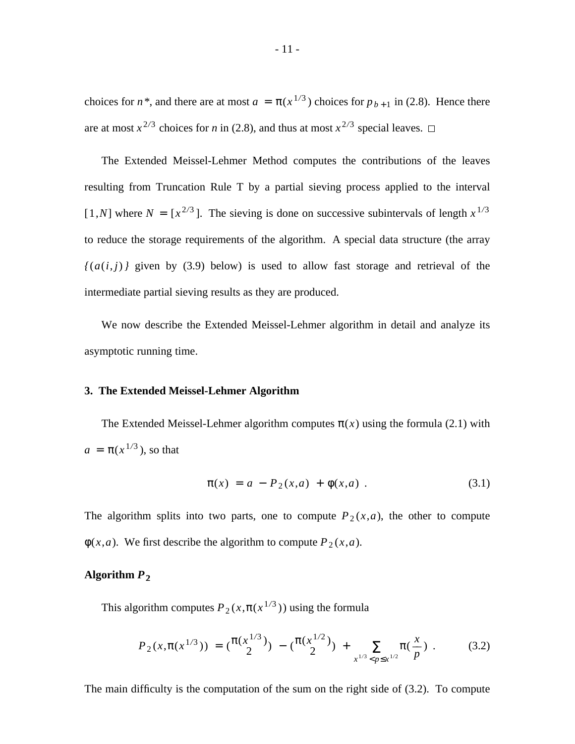choices for *n*<sup>\*</sup>, and there are at most  $a = \pi(x^{1/3})$  choices for  $p_{b+1}$  in (2.8). Hence there are at most  $x^{2/3}$  choices for *n* in (2.8), and thus at most  $x^{2/3}$  special leaves.

The Extended Meissel-Lehmer Method computes the contributions of the leaves resulting from Truncation Rule T by a partial sieving process applied to the interval  $[1,N]$  where  $N = [x^{2/3}]$ . The sieving is done on successive subintervals of length  $x^{1/3}$ to reduce the storage requirements of the algorithm. A special data structure (the array  $\{(a(i, j))\}$  given by (3.9) below) is used to allow fast storage and retrieval of the intermediate partial sieving results as they are produced.

We now describe the Extended Meissel-Lehmer algorithm in detail and analyze its asymptotic running time.

#### **3. The Extended Meissel-Lehmer Algorithm**

The Extended Meissel-Lehmer algorithm computes  $\pi(x)$  using the formula (2.1) with  $a = \pi(x^{1/3})$ , so that

$$
\pi(x) = a - P_2(x, a) + \phi(x, a) . \tag{3.1}
$$

The algorithm splits into two parts, one to compute  $P_2(x,a)$ , the other to compute  $\phi(x,a)$ . We first describe the algorithm to compute  $P_2(x,a)$ .

## **Algorithm** *P*<sup>2</sup>

This algorithm computes  $P_2(x, \pi(x^{1/3}))$  using the formula

$$
P_2(x, \pi(x^{1/3})) = {\pi(x^{1/3}) \choose 2} - {\pi(x^{1/2}) \choose 2} + \sum_{x^{1/3} < p \le x^{1/2}} \pi(\frac{x}{p}). \tag{3.2}
$$

The main difficulty is the computation of the sum on the right side of (3.2). To compute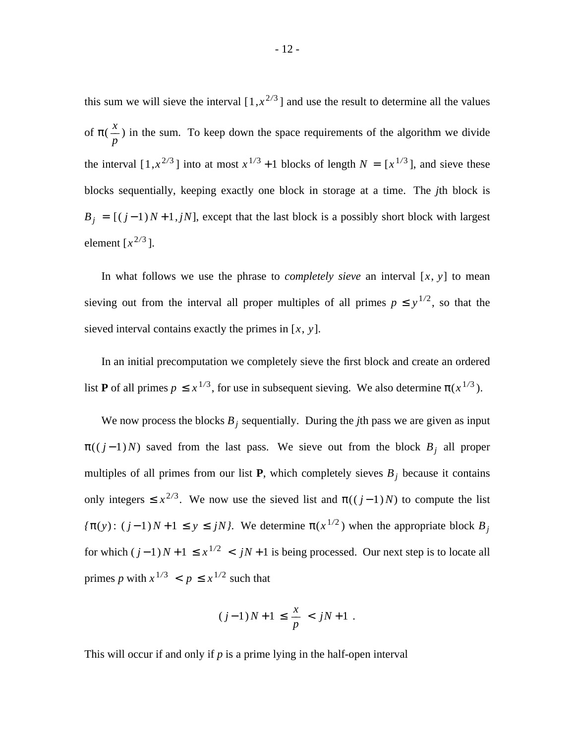this sum we will sieve the interval  $[1, x^{2/3}]$  and use the result to determine all the values of π( *p*  $\frac{x}{x}$ ) in the sum. To keep down the space requirements of the algorithm we divide the interval  $[1, x^{2/3}]$  into at most  $x^{1/3} + 1$  blocks of length  $N = [x^{1/3}]$ , and sieve these blocks sequentially, keeping exactly one block in storage at a time. The *j*th block is  $B_j = [(j-1)N+1, jN]$ , except that the last block is a possibly short block with largest element  $[x^{2/3}]$ .

In what follows we use the phrase to *completely sieve* an interval  $[x, y]$  to mean sieving out from the interval all proper multiples of all primes  $p \le y^{1/2}$ , so that the sieved interval contains exactly the primes in [*x*, *y*].

In an initial precomputation we completely sieve the first block and create an ordered list **P** of all primes  $p \leq x^{1/3}$ , for use in subsequent sieving. We also determine  $\pi(x^{1/3})$ .

We now process the blocks  $B_j$  sequentially. During the *j*th pass we are given as input  $\pi((j-1)N)$  saved from the last pass. We sieve out from the block  $B_j$  all proper multiples of all primes from our list **P**, which completely sieves  $B_j$  because it contains only integers  $\leq x^{2/3}$ . We now use the sieved list and  $\pi((j-1)N)$  to compute the list  $f(\pi(y))$ :  $(j-1)N+1 \leq y \leq jN$ , We determine  $\pi(x^{1/2})$  when the appropriate block  $B_j$ for which  $(j-1)N+1 \leq x^{1/2}$  <  $jN+1$  is being processed. Our next step is to locate all primes *p* with  $x^{1/3} < p \leq x^{1/2}$  such that

$$
(j-1)N+1 \, \leq \, \frac{x}{p} \, < \, jN+1 \,\, .
$$

This will occur if and only if *p* is a prime lying in the half-open interval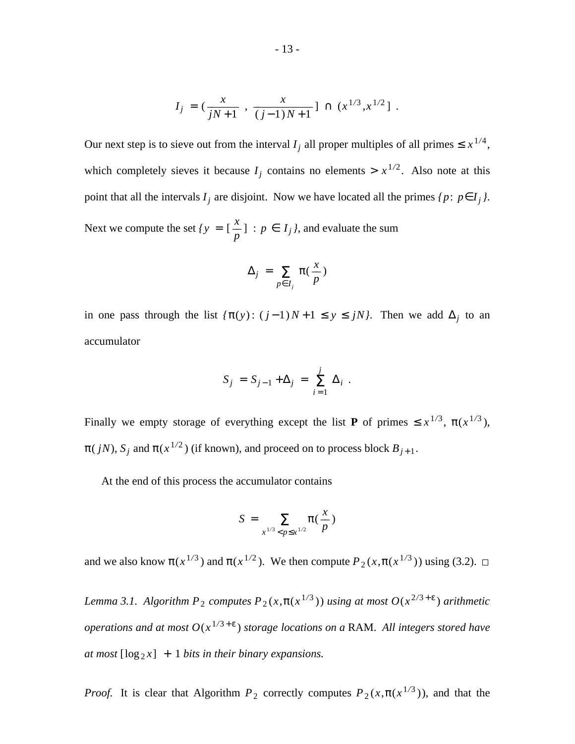$$
I_j = \left(\frac{x}{jN+1}, \frac{x}{(j-1)N+1}\right) \cap \left(x^{1/3}, x^{1/2}\right].
$$

Our next step is to sieve out from the interval  $I_j$  all proper multiples of all primes  $\leq x^{1/4}$ , which completely sieves it because  $I_j$  contains no elements  $> x^{1/2}$ . Also note at this point that all the intervals  $I_j$  are disjoint. Now we have located all the primes  $\{p: p \in I_j\}$ . Next we compute the set  $\{y =$  [  $\frac{x}{p}$  : *p* ∈ *I<sub>j</sub>*, and evaluate the sum

$$
\Delta_j = \sum_{p \in I_j} \pi(\frac{x}{p})
$$

in one pass through the list  $\{\pi(y) : (j-1)N+1 \leq y \leq jN\}$ . Then we add  $\Delta_j$  to an accumulator

$$
S_j = S_{j-1} + \Delta_j = \sum_{i=1}^j \Delta_i.
$$

Finally we empty storage of everything except the list **P** of primes  $\leq x^{1/3}$ ,  $\pi(x^{1/3})$ ,  $\pi(jN)$ ,  $S_j$  and  $\pi(x^{1/2})$  (if known), and proceed on to process block  $B_{j+1}$ .

At the end of this process the accumulator contains

$$
S = \sum_{x^{1/3} < p \leq x^{1/2}} \pi\left(\frac{x}{p}\right)
$$

and we also know  $\pi(x^{1/3})$  and  $\pi(x^{1/2})$ . We then compute  $P_2(x, \pi(x^{1/3}))$  using (3.2).

*Lemma 3.1.* Algorithm  $P_2$  computes  $P_2(x, \pi(x^{1/3}))$  *using at most*  $O(x^{2/3+\epsilon})$  *arithmetic operations and at most O*(*x* <sup>1</sup>*/*<sup>3</sup> + ε ) *storage locations on a* RAM. *All integers stored have at most*  $[\log_2 x] + 1$  *bits in their binary expansions.* 

*Proof.* It is clear that Algorithm  $P_2$  correctly computes  $P_2(x, \pi(x^{1/3}))$ , and that the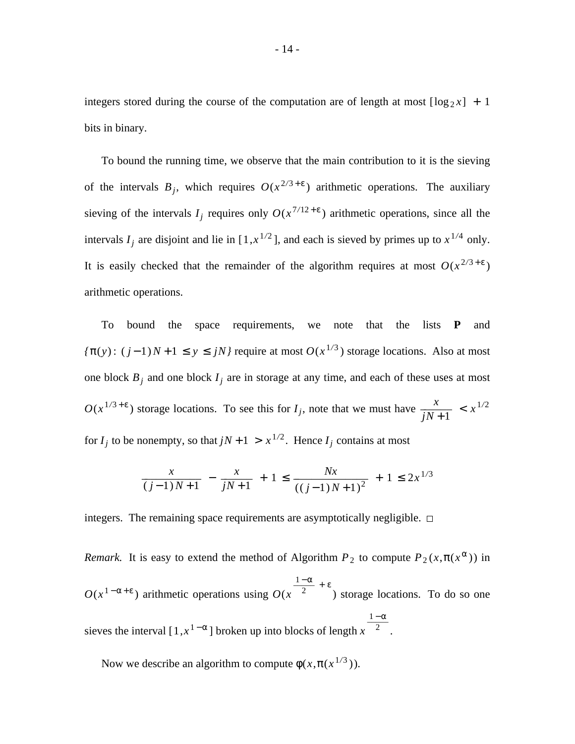integers stored during the course of the computation are of length at most  $\lceil \log_2 x \rceil + 1$ bits in binary.

To bound the running time, we observe that the main contribution to it is the sieving of the intervals  $B_j$ , which requires  $O(x^{2/3+\epsilon})$  arithmetic operations. The auxiliary sieving of the intervals  $I_j$  requires only  $O(x^{7/12 + \epsilon})$  arithmetic operations, since all the intervals  $I_j$  are disjoint and lie in  $[1, x^{1/2}]$ , and each is sieved by primes up to  $x^{1/4}$  only. It is easily checked that the remainder of the algorithm requires at most  $O(x^{2/3+\epsilon})$ arithmetic operations.

To bound the space requirements, we note that the lists **P** and *{*π(*y*):  $(j-1)N+1 \le y \le jN$ *}* require at most  $O(x^{1/3})$  storage locations. Also at most one block  $B_j$  and one block  $I_j$  are in storage at any time, and each of these uses at most  $O(x^{1/3 + \epsilon})$  storage locations. To see this for  $I_j$ , note that we must have *j N* + 1  $\frac{x}{(x-1)^2}$  <  $x^{1/2}$ for  $I_j$  to be nonempty, so that  $jN + 1 > x^{1/2}$ . Hence  $I_j$  contains at most

$$
\frac{x}{(j-1)N+1} - \frac{x}{jN+1} + 1 \le \frac{Nx}{((j-1)N+1)^2} + 1 \le 2x^{1/3}
$$

integers. The remaining space requirements are asymptotically negligible.  $\Box$ 

*Remark.* It is easy to extend the method of Algorithm  $P_2$  to compute  $P_2(x, \pi(x^\alpha))$  in  $O(x^{1-\alpha+\epsilon})$  arithmetic operations using  $O(x^{-2})$  $\frac{1-\alpha}{2} + \epsilon$ ) storage locations. To do so one sieves the interval  $[1, x^{1-\alpha}]$  broken up into blocks of length  $x^{-2}$  $1 - \alpha$ .

Now we describe an algorithm to compute  $\phi(x, \pi(x^{1/3}))$ .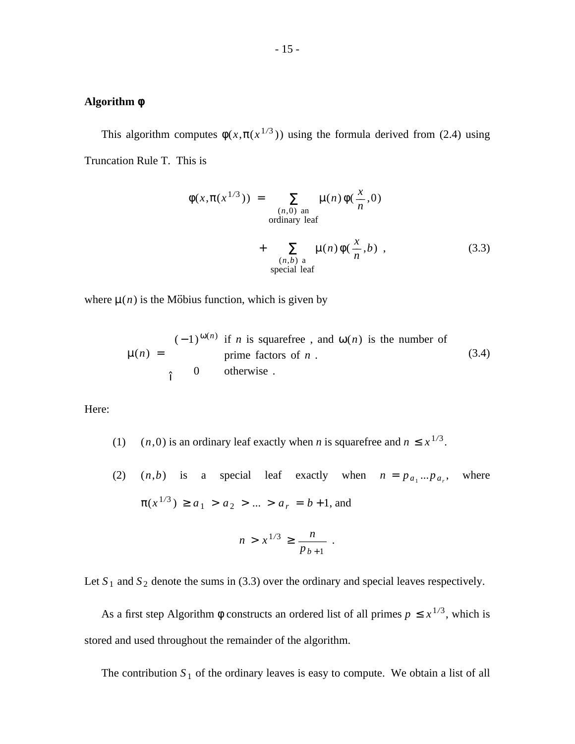# **Algorithm** φ

This algorithm computes  $\phi(x, \pi(x^{1/3}))$  using the formula derived from (2.4) using Truncation Rule T. This is

$$
\phi(x, \pi(x^{1/3})) = \sum_{\substack{(n,0) \text{ an} \\ \text{ordinary leaf}}} \mu(n)\phi(\frac{x}{n}, 0)
$$

+ 
$$
\sum_{\substack{(n,b) \text{ a} \\ \text{special leaf}}} \mu(n)\phi(\frac{x}{n},b)
$$
, (3.3)

where  $\mu(n)$  is the Möbius function, which is given by

$$
\mu(n) = \begin{cases}\n(-1)^{\omega(n)} & \text{if } n \text{ is squarefree, and } \omega(n) \text{ is the number of prime factors of } n \\
0 & \text{otherwise.} \n\end{cases}
$$
\n(3.4)

Here:

- (1)  $(n, 0)$  is an ordinary leaf exactly when *n* is squarefree and  $n \leq x^{1/3}$ .
- (2)  $(n,b)$  is a special leaf exactly when  $n = p_{a_1}...p_{a_r}$ where  $\pi(x^{1/3}) \ge a_1 > a_2 > ... > a_r = b+1$ , and

$$
n > x^{1/3} \ge \frac{n}{p_{b+1}} \; .
$$

Let  $S_1$  and  $S_2$  denote the sums in (3.3) over the ordinary and special leaves respectively.

As a first step Algorithm  $\phi$  constructs an ordered list of all primes  $p \leq x^{1/3}$ , which is stored and used throughout the remainder of the algorithm.

The contribution  $S_1$  of the ordinary leaves is easy to compute. We obtain a list of all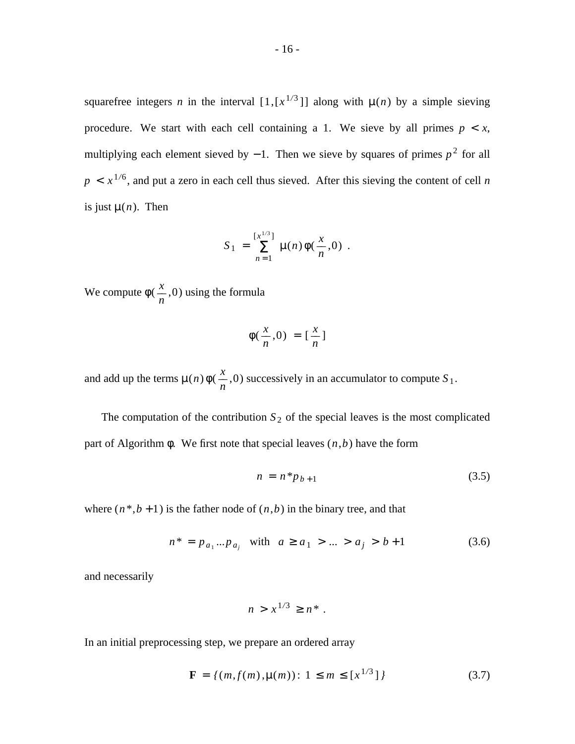squarefree integers *n* in the interval  $[1, [x^{1/3}]]$  along with  $\mu(n)$  by a simple sieving procedure. We start with each cell containing a 1. We sieve by all primes  $p \leq x$ , multiplying each element sieved by  $-1$ . Then we sieve by squares of primes  $p<sup>2</sup>$  for all  $p \lt x^{1/6}$ , and put a zero in each cell thus sieved. After this sieving the content of cell *n* is just  $\mu(n)$ . Then

$$
S_1 = \sum_{n=1}^{[x^{1/3}]} \mu(n) \phi(\frac{x}{n}, 0) .
$$

We compute φ( *n*  $\frac{x}{x}$ , 0) using the formula

$$
\phi(\frac{x}{n},0) = \left[\frac{x}{n}\right]
$$

and add up the terms  $\mu(n)\phi$  $\frac{x}{n}$ , 0) successively in an accumulator to compute *S*<sub>1</sub>.

The computation of the contribution  $S_2$  of the special leaves is the most complicated part of Algorithm  $\phi$ . We first note that special leaves  $(n, b)$  have the form

$$
n = n^* p_{b+1} \tag{3.5}
$$

where  $(n^*, b + 1)$  is the father node of  $(n, b)$  in the binary tree, and that

$$
n^* = p_{a_1}...p_{a_j} \text{ with } a \ge a_1 > ... > a_j > b+1 \tag{3.6}
$$

and necessarily

$$
n > x^{1/3} \ge n^*.
$$

In an initial preprocessing step, we prepare an ordered array

$$
\mathbf{F} = \{ (m, f(m), \mu(m)) : 1 \le m \le [x^{1/3}] \}
$$
 (3.7)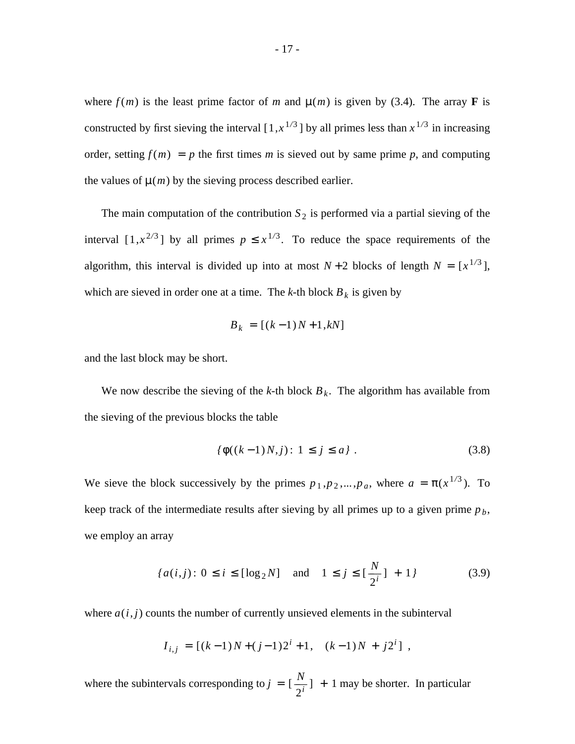where  $f(m)$  is the least prime factor of *m* and  $\mu(m)$  is given by (3.4). The array **F** is constructed by first sieving the interval  $[1, x^{1/3}]$  by all primes less than  $x^{1/3}$  in increasing order, setting  $f(m) = p$  the first times *m* is sieved out by same prime *p*, and computing the values of  $\mu(m)$  by the sieving process described earlier.

The main computation of the contribution  $S_2$  is performed via a partial sieving of the interval  $[1, x^{2/3}]$  by all primes  $p \leq x^{1/3}$ . To reduce the space requirements of the algorithm, this interval is divided up into at most  $N+2$  blocks of length  $N = [x^{1/3}]$ , which are sieved in order one at a time. The  $k$ -th block  $B_k$  is given by

$$
B_k = [(k-1)N+1, kN]
$$

and the last block may be short.

We now describe the sieving of the *k*-th block  $B_k$ . The algorithm has available from the sieving of the previous blocks the table

$$
\{\phi((k-1)N,j): 1 \le j \le a\} .
$$
 (3.8)

We sieve the block successively by the primes  $p_1, p_2, \ldots, p_a$ , where  $a = \pi(x^{1/3})$ . To keep track of the intermediate results after sieving by all primes up to a given prime *p<sup>b</sup>* , we employ an array

$$
\{a(i,j): 0 \le i \le [\log_2 N] \text{ and } 1 \le j \le [\frac{N}{2^i}] + 1\}
$$
 (3.9)

where  $a(i, j)$  counts the number of currently unsieved elements in the subinterval

$$
I_{i,j} = [(k-1)N + (j-1)2^{i} + 1, (k-1)N + j2^{i}],
$$

where the subintervals corresponding to  $j = [$ 2 *i*  $\frac{N}{\cdot}$ ] + 1 may be shorter. In particular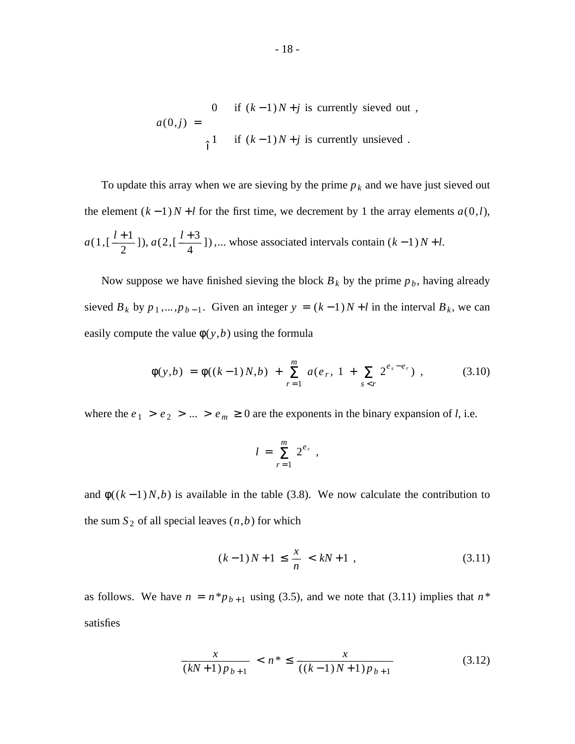$$
a(0,j) = \begin{cases} 0 & \text{if } (k-1)N+j \text{ is currently sieved out,} \\ 1 & \text{if } (k-1)N+j \text{ is currently unsieved.} \end{cases}
$$

To update this array when we are sieving by the prime  $p_k$  and we have just sieved out the element  $(k-1)N+l$  for the first time, we decrement by 1 the array elements  $a(0,l)$ , *a*( 1 , [ 2  $\frac{l+1}{2}$ ]), *a*(2,[ 4  $\frac{l+3}{l}$  ),... whose associated intervals contain  $(k-1)N+l$ .

Now suppose we have finished sieving the block  $B_k$  by the prime  $p_b$ , having already sieved  $B_k$  by  $p_1, \ldots, p_{b-1}$ . Given an integer  $y = (k-1)N + l$  in the interval  $B_k$ , we can easily compute the value  $\phi(y, b)$  using the formula

$$
\phi(y,b) = \phi((k-1)N,b) + \sum_{r=1}^{m} a(e_r, 1 + \sum_{s < r} 2^{e_s - e_r}) \tag{3.10}
$$

where the  $e_1 > e_2 > ... > e_m \ge 0$  are the exponents in the binary expansion of *l*, i.e.

$$
l = \sum_{r=1}^m 2^{e_r},
$$

and  $\phi((k-1)N,b)$  is available in the table (3.8). We now calculate the contribution to the sum  $S_2$  of all special leaves  $(n,b)$  for which

$$
(k-1)N + 1 \le \frac{x}{n} < kN + 1 \tag{3.11}
$$

as follows. We have  $n = n * p_{b+1}$  using (3.5), and we note that (3.11) implies that  $n *$ satisfies

$$
\frac{x}{(kN+1)p_{b+1}} < n^* \le \frac{x}{((k-1)N+1)p_{b+1}}\tag{3.12}
$$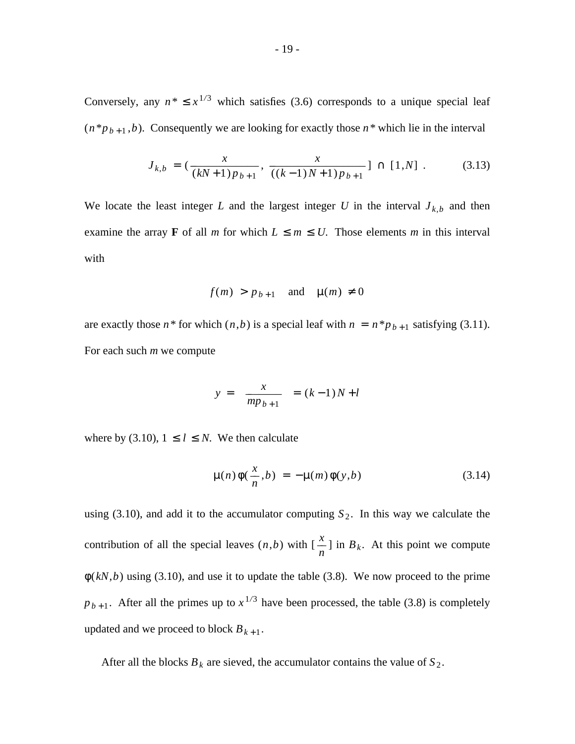Conversely, any  $n^* \leq x^{1/3}$  which satisfies (3.6) corresponds to a unique special leaf  $(n * p_{b+1}, b)$ . Consequently we are looking for exactly those  $n *$  which lie in the interval

$$
J_{k,b} = \left(\frac{x}{(kN+1)p_{b+1}}, \frac{x}{((k-1)N+1)p_{b+1}}\right] \cap [1,N] . \tag{3.13}
$$

We locate the least integer *L* and the largest integer *U* in the interval  $J_{k,b}$  and then examine the array **F** of all *m* for which  $L \le m \le U$ . Those elements *m* in this interval with

$$
f(m) > p_{b+1}
$$
 and  $\mu(m) \neq 0$ 

are exactly those  $n^*$  for which  $(n,b)$  is a special leaf with  $n = n^*p_{b+1}$  satisfying (3.11). For each such *m* we compute

$$
y = \left[\frac{x}{mp_{b+1}}\right] = (k-1)N + l
$$

where by (3.10),  $1 \leq l \leq N$ . We then calculate

$$
\mu(n)\phi(\frac{x}{n},b) = -\mu(m)\phi(y,b)
$$
\n(3.14)

using (3.10), and add it to the accumulator computing  $S_2$ . In this way we calculate the contribution of all the special leaves (*n*,*b*) with [  $\frac{x}{n}$  ] in *B<sub>k</sub>*. At this point we compute  $\phi(kN, b)$  using (3.10), and use it to update the table (3.8). We now proceed to the prime  $p_{b+1}$ . After all the primes up to  $x^{1/3}$  have been processed, the table (3.8) is completely updated and we proceed to block  $B_{k+1}$ .

After all the blocks  $B_k$  are sieved, the accumulator contains the value of  $S_2$ .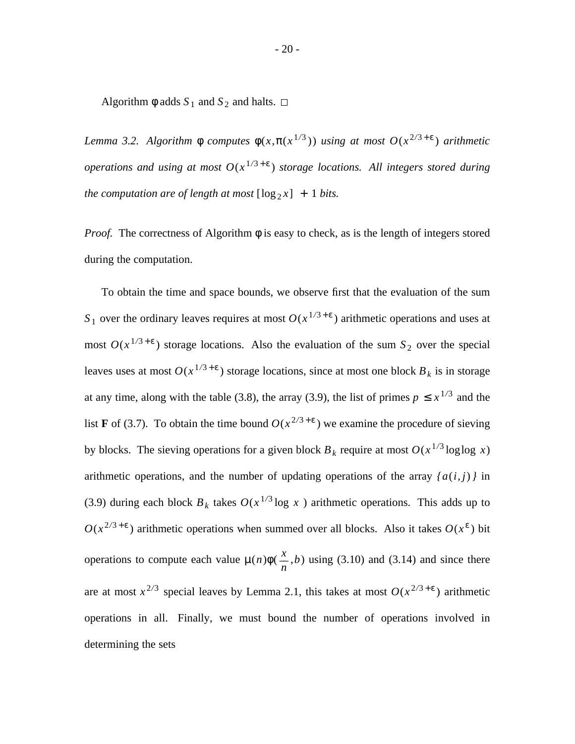Algorithm  $\phi$  adds  $S_1$  and  $S_2$  and halts.  $\Box$ 

*Lemma 3.2.* Algorithm  $φ$  *computes*  $φ(x,π(x^{1/3}))$  *using at most*  $O(x^{2/3 + ε})$  *arithmetic operations and using at most O*(*x* <sup>1</sup>*/*<sup>3</sup> + ε ) *storage locations. All integers stored during the computation are of length at most*  $[\log_2 x] + 1$  *bits.* 

*Proof.* The correctness of Algorithm  $\phi$  is easy to check, as is the length of integers stored during the computation.

To obtain the time and space bounds, we observe first that the evaluation of the sum  $S_1$  over the ordinary leaves requires at most  $O(x^{1/3 + \epsilon})$  arithmetic operations and uses at most  $O(x^{1/3+\epsilon})$  storage locations. Also the evaluation of the sum  $S_2$  over the special leaves uses at most  $O(x^{1/3 + \epsilon})$  storage locations, since at most one block  $B_k$  is in storage at any time, along with the table (3.8), the array (3.9), the list of primes  $p \leq x^{1/3}$  and the list **F** of (3.7). To obtain the time bound  $O(x^{2/3 + \epsilon})$  we examine the procedure of sieving by blocks. The sieving operations for a given block  $B_k$  require at most  $O(x^{1/3} \log \log x)$ arithmetic operations, and the number of updating operations of the array  ${a(i,j)}$  in (3.9) during each block  $B_k$  takes  $O(x^{1/3} \log x)$  arithmetic operations. This adds up to  $O(x^{2/3+\epsilon})$  arithmetic operations when summed over all blocks. Also it takes  $O(x^{\epsilon})$  bit operations to compute each value µ(*n*)φ( *n*  $\frac{x}{x}$ ,*b*) using (3.10) and (3.14) and since there are at most  $x^{2/3}$  special leaves by Lemma 2.1, this takes at most  $O(x^{2/3+\epsilon})$  arithmetic operations in all. Finally, we must bound the number of operations involved in determining the sets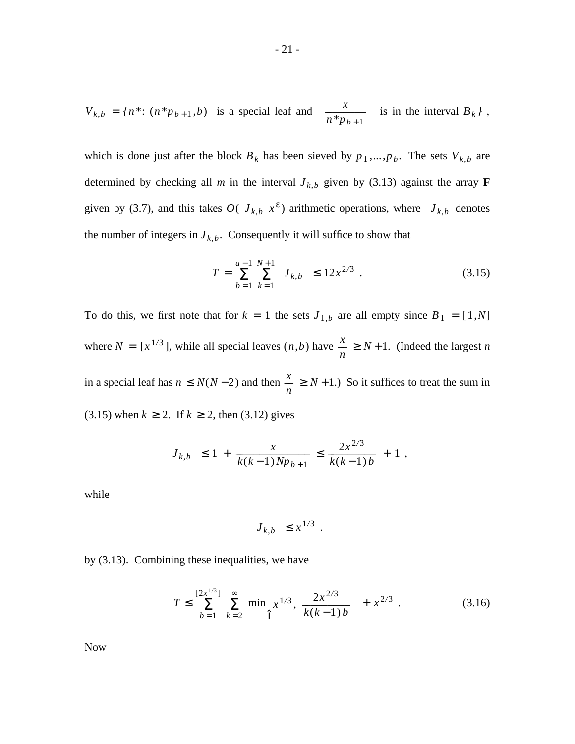$$
V_{k,b} = \{n^* : (n^*p_{b+1}, b) \text{ is a special leaf and } \left[\frac{x}{n^*p_{b+1}}\right] \text{ is in the interval } B_k\},
$$

which is done just after the block  $B_k$  has been sieved by  $p_1, \ldots, p_b$ . The sets  $V_{k,b}$  are determined by checking all *m* in the interval  $J_{k,b}$  given by (3.13) against the array **F** given by (3.7), and this takes  $O(|J_{k,b}|x^{\epsilon})$  arithmetic operations, where  $|J_{k,b}|$  denotes the number of integers in  $J_{k,b}$ . Consequently it will suffice to show that

$$
T = \sum_{b=1}^{a-1} \sum_{k=1}^{N+1} |J_{k,b}| \le 12x^{2/3} . \tag{3.15}
$$

To do this, we first note that for  $k = 1$  the sets  $J_{1,b}$  are all empty since  $B_1 = [1,N]$ where  $N = [x^{1/3}]$ , while all special leaves  $(n, b)$  have *n*  $\frac{x}{x} \geq N + 1$ . (Indeed the largest *n* in a special leaf has  $n \leq N(N-2)$  and then *n*  $\frac{x}{x} \ge N + 1$ .) So it suffices to treat the sum in (3.15) when  $k \ge 2$ . If  $k \ge 2$ , then (3.12) gives

$$
|J_{k,b}| \le 1 + \frac{x}{k(k-1)Np_{b+1}} \le \frac{2x^{2/3}}{k(k-1)b} + 1,
$$

while

$$
|J_{k,b}| \leq x^{1/3} .
$$

by (3.13). Combining these inequalities, we have

$$
T \le \sum_{b=1}^{\left[2x^{1/3}\right]} \sum_{k=2}^{\infty} \min \left[x^{1/3}, \frac{2x^{2/3}}{k(k-1)b}\right] + x^{2/3} . \tag{3.16}
$$

Now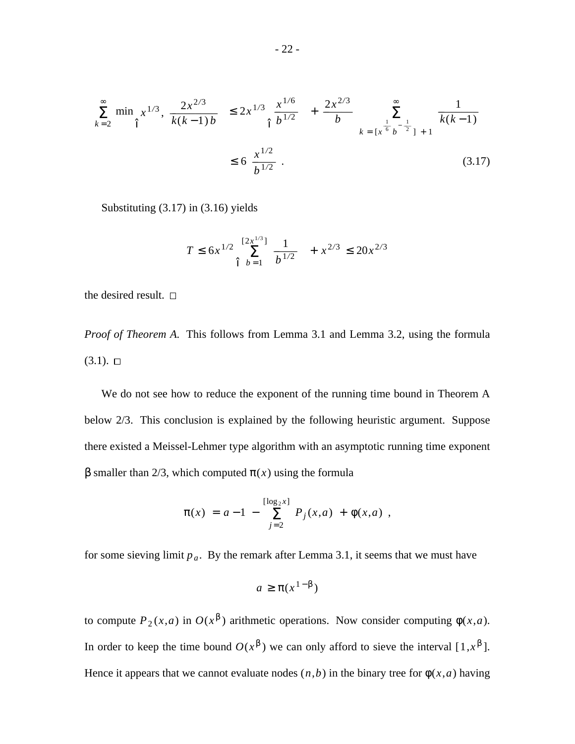$$
\sum_{k=2}^{\infty} \min \left| x^{1/3}, \frac{2x^{2/3}}{k(k-1)b} \right| \le 2x^{1/3} \left| \frac{x^{1/6}}{b^{1/2}} \right| + \frac{2x^{2/3}}{b} \sum_{k=\lceil x^{\frac{1}{6}} b^{-\frac{1}{2}} \rceil + 1}^{\infty} \frac{1}{k(k-1)}
$$
  

$$
\le 6 \frac{x^{1/2}}{b^{1/2}} \tag{3.17}
$$

Substituting (3.17) in (3.16) yields

$$
T \le 6x^{1/2} \left[ \sum_{b=1}^{\left[ 2x^{1/3} \right]} \frac{1}{b^{1/2}} \right] + x^{2/3} \le 20x^{2/3}
$$

the desired result.  $\square$ 

*Proof of Theorem A.* This follows from Lemma 3.1 and Lemma 3.2, using the formula  $(3.1)$ .  $\square$ 

We do not see how to reduce the exponent of the running time bound in Theorem A below 2/3. This conclusion is explained by the following heuristic argument. Suppose there existed a Meissel-Lehmer type algorithm with an asymptotic running time exponent β smaller than 2/3, which computed π(*x*) using the formula

$$
\pi(x) = a - 1 - \sum_{j=2}^{\lfloor \log_2 x \rfloor} P_j(x, a) + \phi(x, a) ,
$$

for some sieving limit  $p_a$ . By the remark after Lemma 3.1, it seems that we must have

$$
a \geq \pi(x^{1-\beta})
$$

to compute  $P_2(x,a)$  in  $O(x^{\beta})$  arithmetic operations. Now consider computing  $\phi(x,a)$ . In order to keep the time bound  $O(x^{\beta})$  we can only afford to sieve the interval [1, $x^{\beta}$ ]. Hence it appears that we cannot evaluate nodes  $(n,b)$  in the binary tree for  $\phi(x,a)$  having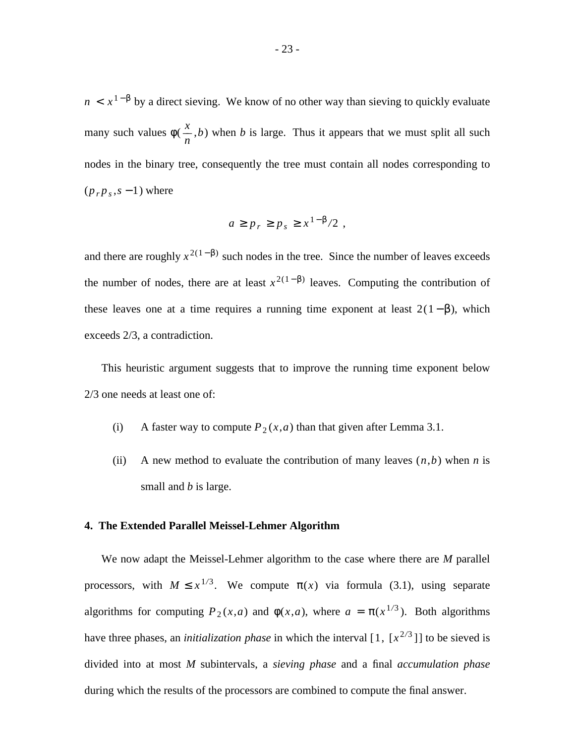$n < x^{1-\beta}$  by a direct sieving. We know of no other way than sieving to quickly evaluate many such values φ( *n*  $\frac{x}{x}$ ,*b*) when *b* is large. Thus it appears that we must split all such nodes in the binary tree, consequently the tree must contain all nodes corresponding to  $(p_r p_s, s - 1)$  where

$$
a \ge p_r \ge p_s \ge x^{1-\beta}/2 \ ,
$$

and there are roughly  $x^{2(1-\beta)}$  such nodes in the tree. Since the number of leaves exceeds the number of nodes, there are at least  $x^{2(1-\beta)}$  leaves. Computing the contribution of these leaves one at a time requires a running time exponent at least  $2(1-\beta)$ , which exceeds 2/3, a contradiction.

This heuristic argument suggests that to improve the running time exponent below 2/3 one needs at least one of:

- (i) A faster way to compute  $P_2(x,a)$  than that given after Lemma 3.1.
- (ii) A new method to evaluate the contribution of many leaves  $(n,b)$  when *n* is small and *b* is large.

#### **4. The Extended Parallel Meissel-Lehmer Algorithm**

We now adapt the Meissel-Lehmer algorithm to the case where there are *M* parallel processors, with  $M \leq x^{1/3}$ . We compute  $\pi(x)$  via formula (3.1), using separate algorithms for computing  $P_2(x,a)$  and  $\phi(x,a)$ , where  $a = \pi(x^{1/3})$ . Both algorithms have three phases, an *initialization phase* in which the interval [1, [ $x^{2/3}$ ]] to be sieved is divided into at most *M* subintervals, a *sieving phase* and a final *accumulation phase* during which the results of the processors are combined to compute the final answer.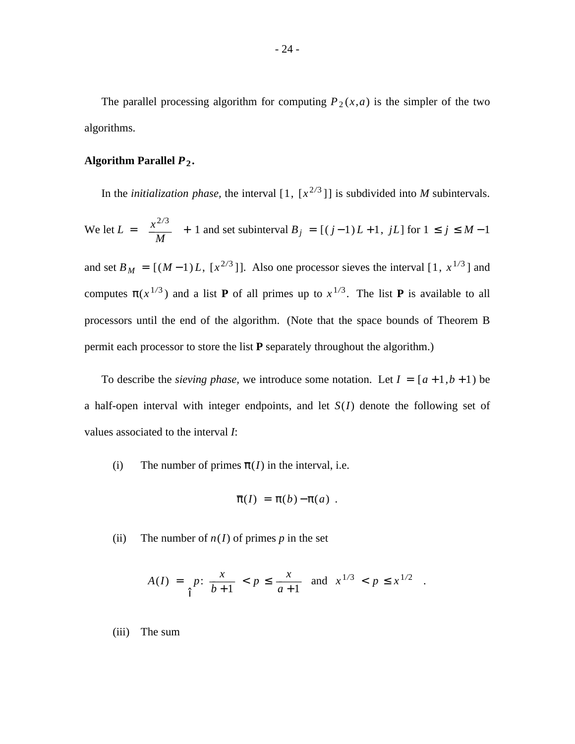The parallel processing algorithm for computing  $P_2(x,a)$  is the simpler of the two algorithms.

# Algorithm Parallel  $P_2$ .

In the *initialization phase*, the interval  $[1, [x^{2/3}]]$  is subdivided into *M* subintervals.

We let 
$$
L = \left[\frac{x^{2/3}}{M}\right] + 1
$$
 and set subinterval  $B_j = [(j-1)L+1, jL]$  for  $1 \le j \le M-1$ 

and set  $B_M = [(M-1)L, [x^{2/3}]]$ . Also one processor sieves the interval [1,  $x^{1/3}$ ] and computes  $\pi(x^{1/3})$  and a list **P** of all primes up to  $x^{1/3}$ . The list **P** is available to all processors until the end of the algorithm. (Note that the space bounds of Theorem B permit each processor to store the list **P** separately throughout the algorithm.)

To describe the *sieving phase*, we introduce some notation. Let  $I = [a+1,b+1)$  be a half-open interval with integer endpoints, and let *S*(*I*) denote the following set of values associated to the interval *I*:

(i) The number of primes  $\bar{\pi}$ \_ (*I*) in the interval, i.e.

$$
\overline{\pi}(I) = \pi(b) - \pi(a) .
$$

(ii) The number of  $n(I)$  of primes p in the set

$$
A(I) = \left\{ p \colon \frac{x}{b+1} < p \le \frac{x}{a+1} \quad \text{and} \quad x^{1/3} < p \le x^{1/2} \right\}.
$$

(iii) The sum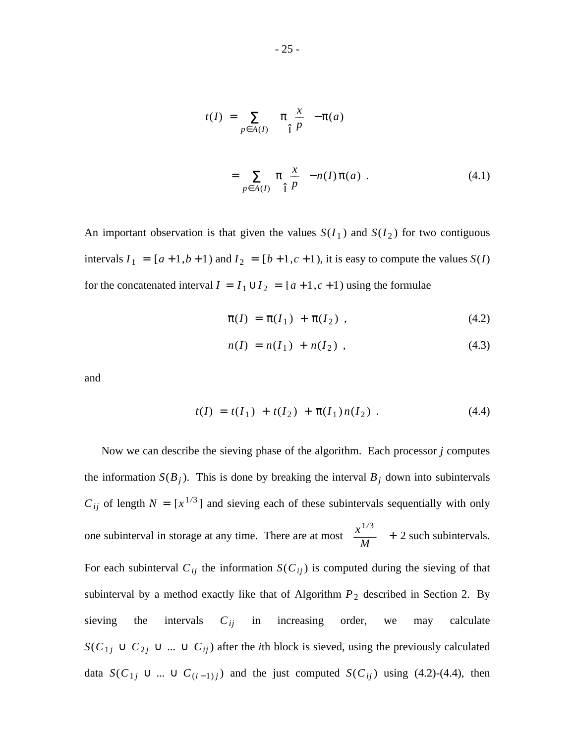$$
t(I) = \sum_{p \in A(I)} \left[ \pi \left( \frac{x}{p} \right) - \pi(a) \right]
$$

$$
= \sum_{p \in A(I)} \pi \left( \frac{x}{p} \right) - n(I) \pi(a) . \tag{4.1}
$$

An important observation is that given the values  $S(I_1)$  and  $S(I_2)$  for two contiguous intervals  $I_1 = [a+1,b+1)$  and  $I_2 = [b+1,c+1)$ , it is easy to compute the values  $S(I)$ for the concatenated interval  $I = I_1 \cup I_2 = [a+1,c+1)$  using the formulae

$$
\overline{\pi}(I) = \overline{\pi}(I_1) + \overline{\pi}(I_2) , \qquad (4.2)
$$

$$
n(I) = n(I_1) + n(I_2) \t\t(4.3)
$$

and

$$
t(I) = t(I_1) + t(I_2) + \overline{\pi}(I_1)n(I_2) . \qquad (4.4)
$$

Now we can describe the sieving phase of the algorithm. Each processor *j* computes the information  $S(B_j)$ . This is done by breaking the interval  $B_j$  down into subintervals  $C_{ij}$  of length  $N = [x^{1/3}]$  and sieving each of these subintervals sequentially with only one subinterval in storage at any time. There are at most *M*  $\left[\frac{x^{1/3}}{11}\right]$  + 2 such subintervals. For each subinterval  $C_{ij}$  the information  $S(C_{ij})$  is computed during the sieving of that subinterval by a method exactly like that of Algorithm  $P_2$  described in Section 2. By sieving the intervals  $C_{ij}$  in increasing order, we may calculate *S*( $C_{1j}$  ∪  $C_{2j}$  ∪ *...* ∪  $C_{ij}$ ) after the *i*th block is sieved, using the previously calculated data  $S(C_{1j} \cup ... \cup C_{(i-1)j})$  and the just computed  $S(C_{ij})$  using (4.2)-(4.4), then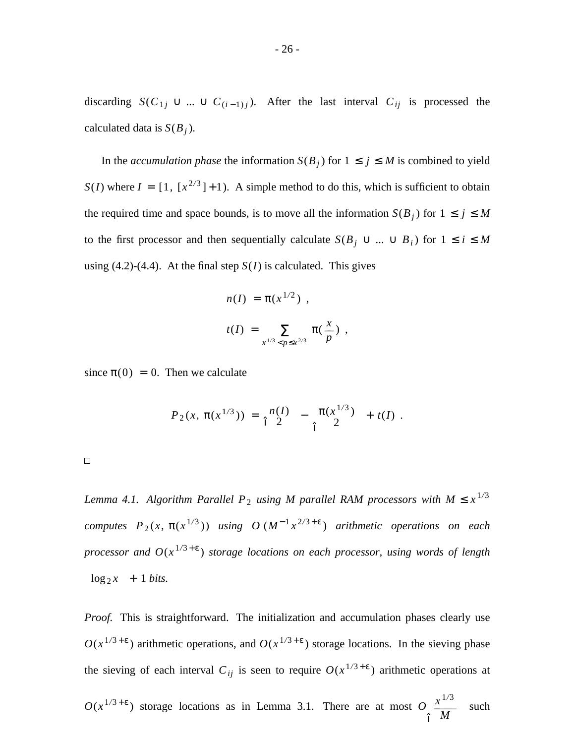discarding  $S(C_{1j} \cup ... \cup C_{(i-1)j})$ . After the last interval  $C_{ij}$  is processed the calculated data is *S*(*B<sup>j</sup>* ).

In the *accumulation phase* the information  $S(B_j)$  for  $1 \leq j \leq M$  is combined to yield  $S(I)$  where  $I = [1, [x^{2/3}] + 1)$ . A simple method to do this, which is sufficient to obtain the required time and space bounds, is to move all the information  $S(B_j)$  for  $1 \leq j \leq M$ to the first processor and then sequentially calculate  $S(B_j \cup ... \cup B_i)$  for  $1 \le i \le M$ using  $(4.2)$ - $(4.4)$ . At the final step  $S(I)$  is calculated. This gives

$$
n(I) = \pi(x^{1/2}),
$$
  

$$
t(I) = \sum_{x^{1/3} < p \leq x^{2/3}} \pi\left(\frac{x}{p}\right),
$$

since  $\pi(0) = 0$ . Then we calculate

$$
P_2(x, \pi(x^{1/3})) = \begin{bmatrix} n(I) \\ 2 \end{bmatrix} - \begin{bmatrix} \pi(x^{1/3}) \\ 2 \end{bmatrix} + t(I).
$$

 $\Box$ 

*Lemma 4.1. Algorithm Parallel*  $P_2$  *using M parallel RAM processors with*  $M \leq x^{1/3}$ *computes*  $P_2(x, \pi(x^{1/3}))$  *using O*  $(M^{-1}x^{2/3+\epsilon})$  *arithmetic operations on each processor and O*(*x* <sup>1</sup>*/*<sup>3</sup> + ε ) *storage locations on each processor, using words of length*  $\lceil \log_2 x \rceil + 1 \text{ bits.}$ 

*Proof.* This is straightforward. The initialization and accumulation phases clearly use  $O(x^{1/3+\epsilon})$  arithmetic operations, and  $O(x^{1/3+\epsilon})$  storage locations. In the sieving phase the sieving of each interval  $C_{ij}$  is seen to require  $O(x^{1/3 + \epsilon})$  arithmetic operations at

 $O(x^{1/3+\epsilon})$  storage locations as in Lemma 3.1. There are at most  $O$  $\vert$ *M*  $\frac{x^{1/3}}{x^{1/3}}$  $\overline{\phantom{a}}$  $\overline{\phantom{a}}$ J such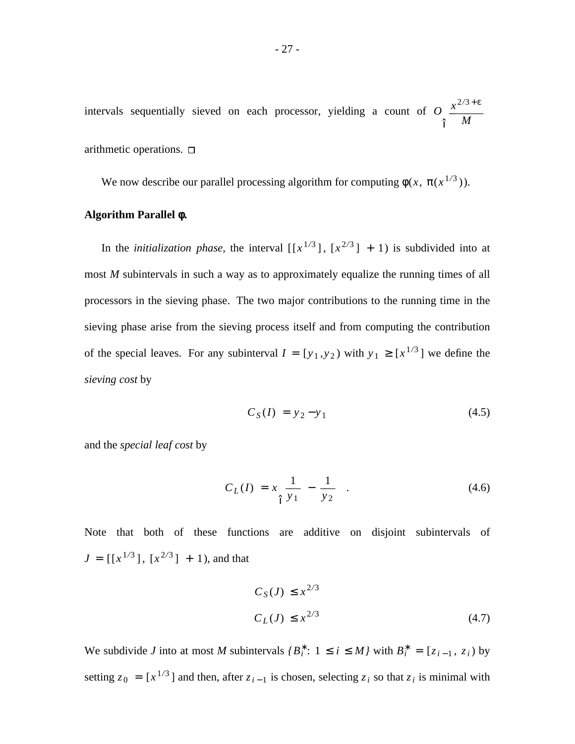intervals sequentially sieved on each processor, yielding a count of *O*  $\overline{\phantom{a}}$  $\overline{\phantom{a}}$ *M*  $x^{2/3 + ε}$  $\mathbf{I}$  $\overline{1}$ J

arithmetic operations.  $\square$ 

We now describe our parallel processing algorithm for computing  $\phi(x, \pi(x^{1/3}))$ .

# **Algorithm Parallel φ.**

In the *initialization phase*, the interval  $\left[ \left[ x^{1/3} \right], \left[ x^{2/3} \right] + 1 \right)$  is subdivided into at most *M* subintervals in such a way as to approximately equalize the running times of all processors in the sieving phase. The two major contributions to the running time in the sieving phase arise from the sieving process itself and from computing the contribution of the special leaves. For any subinterval  $I = [y_1, y_2)$  with  $y_1 \geq [x^{1/3}]$  we define the *sieving cost* by

$$
C_S(I) = y_2 - y_1 \tag{4.5}
$$

and the *special leaf cost* by

$$
C_L(I) = x \left[ \frac{1}{y_1} - \frac{1}{y_2} \right]. \tag{4.6}
$$

Note that both of these functions are additive on disjoint subintervals of  $J = [[x^{1/3}], [x^{2/3}] + 1)$ , and that

$$
C_S(J) \le x^{2/3}
$$
  
\n
$$
C_L(J) \le x^{2/3}
$$
\n(4.7)

We subdivide *J* into at most *M* subintervals  $\{B_i^* : 1 \le i \le M\}$  with  $B_i^* = [z_{i-1}, z_i)$  by setting  $z_0 = [x^{1/3}]$  and then, after  $z_{i-1}$  is chosen, selecting  $z_i$  so that  $z_i$  is minimal with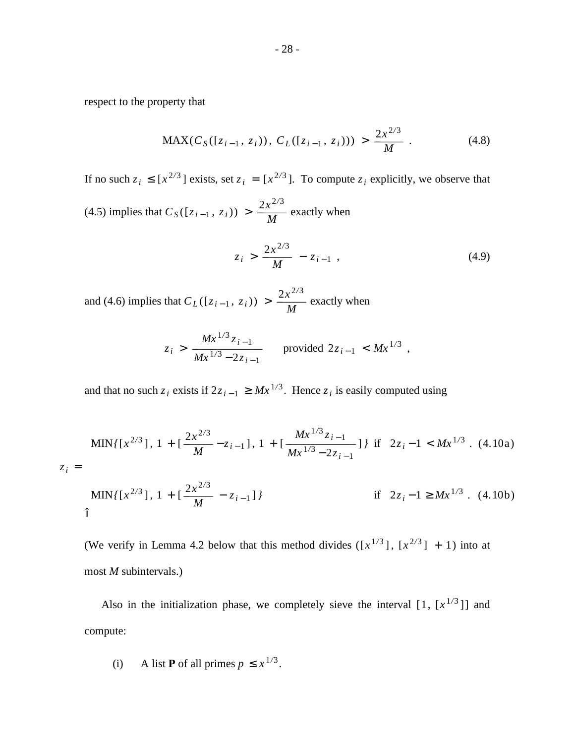respect to the property that

$$
\text{MAX}(C_S([z_{i-1}, z_i)), C_L([z_{i-1}, z_i))) > \frac{2x^{2/3}}{M} \tag{4.8}
$$

If no such  $z_i \leq [x^{2/3}]$  exists, set  $z_i = [x^{2/3}]$ . To compute  $z_i$  explicitly, we observe that

 $(4.5)$  implies that  $C_S([z_{i-1}, z_i)) >$ *M*  $\frac{2x^{2/3}}{11}$  exactly when

$$
z_i > \frac{2x^{2/3}}{M} - z_{i-1} \t\t(4.9)
$$

and (4.6) implies that  $C_L([z_{i-1}, z_i))$  > *M*  $\frac{2x^{2/3}}{M}$  exactly when

$$
z_i > \frac{Mx^{1/3}z_{i-1}}{Mx^{1/3} - 2z_{i-1}}
$$
 provided  $2z_{i-1} < Mx^{1/3}$ ,

and that no such  $z_i$  exists if  $2z_{i-1} \ge Mx^{1/3}$ . Hence  $z_i$  is easily computed using

$$
z_{i} = \begin{cases} \min\{ [x^{2/3}], 1 + [\frac{2x^{2/3}}{M} - z_{i-1}], 1 + [\frac{Mx^{1/3}z_{i-1}}{Mx^{1/3} - 2z_{i-1}}] \} \text{ if } 2z_{i} - 1 < Mx^{1/3}. \ (4.10a) \\ \min\{ [x^{2/3}], 1 + [\frac{2x^{2/3}}{M} - z_{i-1}] \} \text{ if } 2z_{i} - 1 \ge Mx^{1/3}. \ (4.10b) \end{cases}
$$

(We verify in Lemma 4.2 below that this method divides  $([x^{1/3}], [x^{2/3}] + 1)$  into at most *M* subintervals.)

Also in the initialization phase, we completely sieve the interval  $[1, [x^{1/3}]$  and compute:

(i) A list **P** of all primes 
$$
p \leq x^{1/3}
$$
.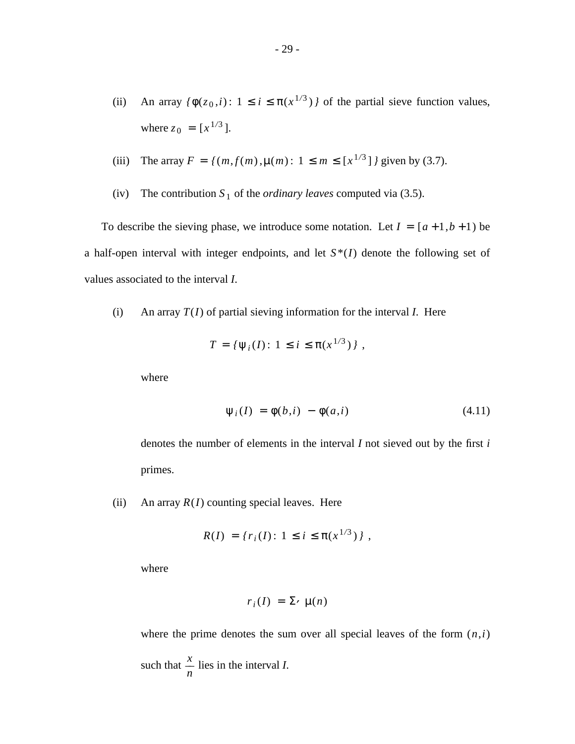(ii) An array  $\{\phi(z_0, i): 1 \le i \le \pi(x^{1/3})\}$  of the partial sieve function values, where  $z_0 = [x^{1/3}]$ .

(iii) The array 
$$
F = \{(m, f(m), \mu(m): 1 \le m \le [x^{1/3}]\}
$$
 given by (3.7).

(iv) The contribution  $S_1$  of the *ordinary leaves* computed via (3.5).

To describe the sieving phase, we introduce some notation. Let  $I = [a+1,b+1)$  be a half-open interval with integer endpoints, and let  $S^*(I)$  denote the following set of values associated to the interval *I*.

(i) An array *T*(*I*) of partial sieving information for the interval *I*. Here

$$
T = \{ \psi_i(I) : 1 \leq i \leq \pi(x^{1/3}) \},
$$

where

$$
\psi_i(I) = \phi(b,i) - \phi(a,i) \tag{4.11}
$$

denotes the number of elements in the interval *I* not sieved out by the first *i* primes.

(ii) An array  $R(I)$  counting special leaves. Here

$$
R(I) = \{r_i(I): 1 \le i \le \pi(x^{1/3})\},\,
$$

where

$$
r_i(I) = \Sigma \cdot \mu(n)
$$

where the prime denotes the sum over all special leaves of the form  $(n,i)$ such that *n*  $\frac{x}{x}$  lies in the interval *I*.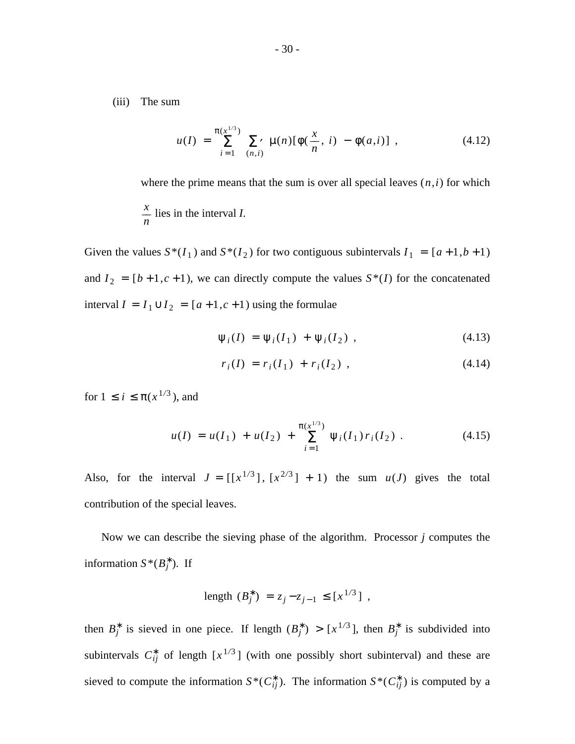(iii) The sum

$$
u(I) = \sum_{i=1}^{\pi(x^{1/3})} \sum_{(n,i)} \mu(n) [\phi(\frac{x}{n}, i) - \phi(a,i)] , \qquad (4.12)
$$

where the prime means that the sum is over all special leaves  $(n,i)$  for which

$$
\frac{x}{n}
$$
 lies in the interval *I*.

Given the values  $S^*(I_1)$  and  $S^*(I_2)$  for two contiguous subintervals  $I_1 = [a+1,b+1)$ and  $I_2 = [b+1,c+1)$ , we can directly compute the values  $S^*(I)$  for the concatenated interval  $I = I_1 \cup I_2 = [a+1,c+1)$  using the formulae

$$
\psi_i(I) = \psi_i(I_1) + \psi_i(I_2) , \qquad (4.13)
$$

$$
r_i(I) = r_i(I_1) + r_i(I_2) \t\t(4.14)
$$

for  $1 \le i \le π(x^{1/3})$ , and

$$
u(I) = u(I_1) + u(I_2) + \sum_{i=1}^{\pi(x^{1/3})} \Psi_i(I_1) r_i(I_2) . \qquad (4.15)
$$

Also, for the interval  $J = [[x^{1/3}], [x^{2/3}] + 1)$  the sum  $u(J)$  gives the total contribution of the special leaves.

Now we can describe the sieving phase of the algorithm. Processor *j* computes the information  $S^*(B_j^*)$ . If

length 
$$
(B_j^*) = z_j - z_{j-1} \le [x^{1/3}]
$$
,

then  $B_j^*$  is sieved in one piece. If length  $(B_j^*) > [x^{1/3}]$ , then  $B_j^*$  is subdivided into subintervals  $C_{ij}^*$  of length  $[x^{1/3}]$  (with one possibly short subinterval) and these are sieved to compute the information  $S^*(C_{ij}^*)$ . The information  $S^*(C_{ij}^*)$  is computed by a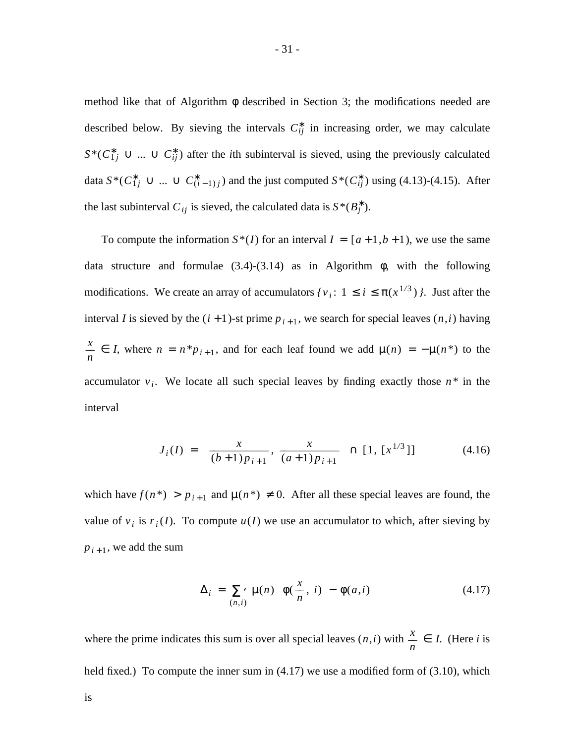method like that of Algorithm  $\phi$  described in Section 3; the modifications needed are described below. By sieving the intervals  $C_{ij}^*$  in increasing order, we may calculate  $S^*(C_{1j}^* \cup ... \cup C_{ij}^*)$  after the *i*th subinterval is sieved, using the previously calculated data  $S^*(C_{1j}^* \cup ... \cup C_{(i-1)j}^*)$  and the just computed  $S^*(C_{ij}^*)$  using (4.13)-(4.15). After the last subinterval  $C_{ij}$  is sieved, the calculated data is  $S^*(B_j^*)$ .

To compute the information  $S^*(I)$  for an interval  $I = [a+1,b+1)$ , we use the same data structure and formulae  $(3.4)-(3.14)$  as in Algorithm  $\phi$ , with the following modifications. We create an array of accumulators  $\{v_i: 1 \le i \le \pi(x^{1/3})\}\)$ . Just after the interval *I* is sieved by the  $(i + 1)$ -st prime  $p_{i+1}$ , we search for special leaves  $(n,i)$  having *n n z n*  $\frac{x}{n}$   $\in$  *I*, where *n* = *n*<sup>\*</sup>*p*<sub>*i*+1</sub></sub>, and for each leaf found we add  $\mu(n) = -\mu(n^*)$  to the accumulator  $v_i$ . We locate all such special leaves by finding exactly those  $n^*$  in the interval

$$
J_i(I) = \left[ \frac{x}{(b+1)p_{i+1}}, \frac{x}{(a+1)p_{i+1}} \right] \cap [1, [x^{1/3}]] \tag{4.16}
$$

which have  $f(n^*) > p_{i+1}$  and  $\mu(n^*) \neq 0$ . After all these special leaves are found, the value of  $v_i$  is  $r_i(I)$ . To compute  $u(I)$  we use an accumulator to which, after sieving by  $p_{i+1}$ , we add the sum

$$
\Delta_i = \sum_{(n,i)} \mu(n) \left[ \phi(\frac{x}{n}, i) - \phi(a,i) \right]
$$
 (4.17)

where the prime indicates this sum is over all special leaves  $(n,i)$  with *n*  $\frac{x}{-} \in I$ . (Here *i* is held fixed.) To compute the inner sum in  $(4.17)$  we use a modified form of  $(3.10)$ , which is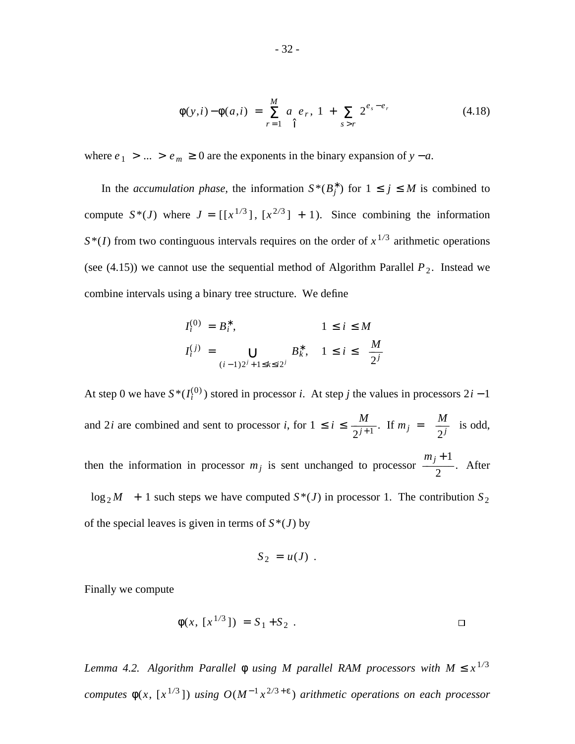$$
\phi(y,i) - \phi(a,i) = \sum_{r=1}^{M} a \left| e_r, 1 + \sum_{s>r} 2^{e_s - e_r} \right| \tag{4.18}
$$

where  $e_1 > ... > e_m \ge 0$  are the exponents in the binary expansion of  $y - a$ .

In the *accumulation phase*, the information  $S^*(B_j^*)$  for  $1 \le j \le M$  is combined to compute  $S^*(J)$  where  $J = [[x^{1/3}], [x^{2/3}] + 1)$ . Since combining the information  $S^*(I)$  from two continguous intervals requires on the order of  $x^{1/3}$  arithmetic operations (see  $(4.15)$ ) we cannot use the sequential method of Algorithm Parallel  $P_2$ . Instead we combine intervals using a binary tree structure. We define

$$
I_i^{(0)} = B_i^*, \t 1 \le i \le M
$$
  

$$
I_i^{(j)} = \bigcup_{(i-1)2^j + 1 \le k \le i2^j} B_k^*, \t 1 \le i \le \lceil \frac{M}{2^j} \rceil
$$

At step 0 we have  $S^*(I_i^{(0)})$  stored in processor *i*. At step *j* the values in processors  $2i - 1$ and 2*i* are combined and sent to processor *i*, for  $1 \le i \le$  $\frac{M}{2^{j+1}}$ . If  $m_j = \lceil$  $\frac{M}{2^j}$  is odd, then the information in processor  $m_j$  is sent unchanged to processor 2  $\frac{m_j+1}{2}$ . After  $\lceil \log_2 M \rceil + 1$  such steps we have computed  $S^*(J)$  in processor 1. The contribution  $S_2$ of the special leaves is given in terms of  $S^*(J)$  by

$$
S_2 = u(J) .
$$

Finally we compute

$$
\phi(x, [x^{1/3}]) = S_1 + S_2 . \square
$$

Lemma 4.2. Algorithm Parallel  $\phi$  using M parallel RAM processors with  $M \leq x^{1/3}$ *computes*  $\phi(x, [x^{1/3}])$  *using*  $O(M^{-1}x^{2/3+\epsilon})$  *arithmetic operations on each processor*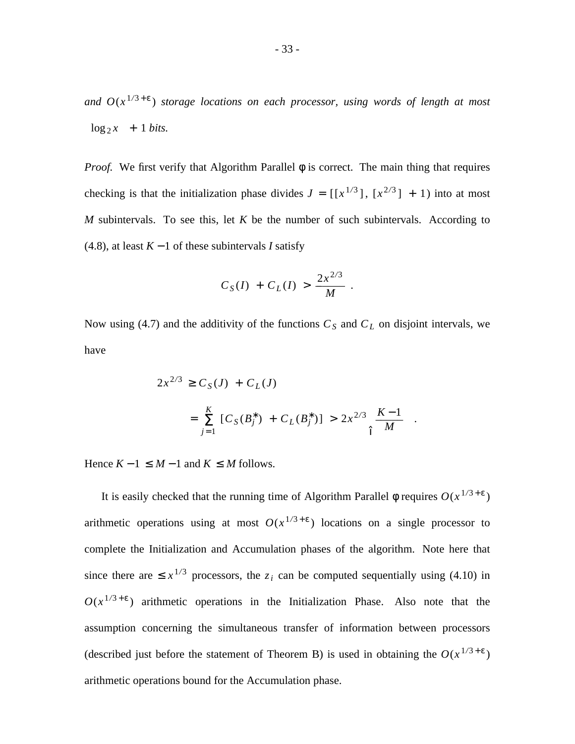*and O*(*x* <sup>1</sup>*/*<sup>3</sup> + ε ) *storage locations on each processor, using words of length at most*  $\lceil \log_2 x \rceil + 1 \text{ bits.}$ 

*Proof.* We first verify that Algorithm Parallel  $\phi$  is correct. The main thing that requires checking is that the initialization phase divides  $J = [[x^{1/3}], [x^{2/3}] + 1)$  into at most *M* subintervals. To see this, let *K* be the number of such subintervals. According to (4.8), at least *K* − 1 of these subintervals *I* satisfy

$$
C_S(I) + C_L(I) > \frac{2x^{2/3}}{M}.
$$

Now using (4.7) and the additivity of the functions  $C<sub>S</sub>$  and  $C<sub>L</sub>$  on disjoint intervals, we have

$$
2x^{2/3} \ge C_S(J) + C_L(J)
$$
  
=  $\sum_{j=1}^K [C_S(B_j^*) + C_L(B_j^*)] > 2x^{2/3} \left[ \frac{K-1}{M} \right].$ 

Hence  $K - 1 \leq M - 1$  and  $K \leq M$  follows.

It is easily checked that the running time of Algorithm Parallel  $\phi$  requires  $O(x^{1/3+\epsilon})$ arithmetic operations using at most  $O(x^{1/3+\epsilon})$  locations on a single processor to complete the Initialization and Accumulation phases of the algorithm. Note here that since there are  $\leq x^{1/3}$  processors, the  $z_i$  can be computed sequentially using (4.10) in  $O(x^{1/3+\epsilon})$  arithmetic operations in the Initialization Phase. Also note that the assumption concerning the simultaneous transfer of information between processors (described just before the statement of Theorem B) is used in obtaining the  $O(x^{1/3+\epsilon})$ arithmetic operations bound for the Accumulation phase.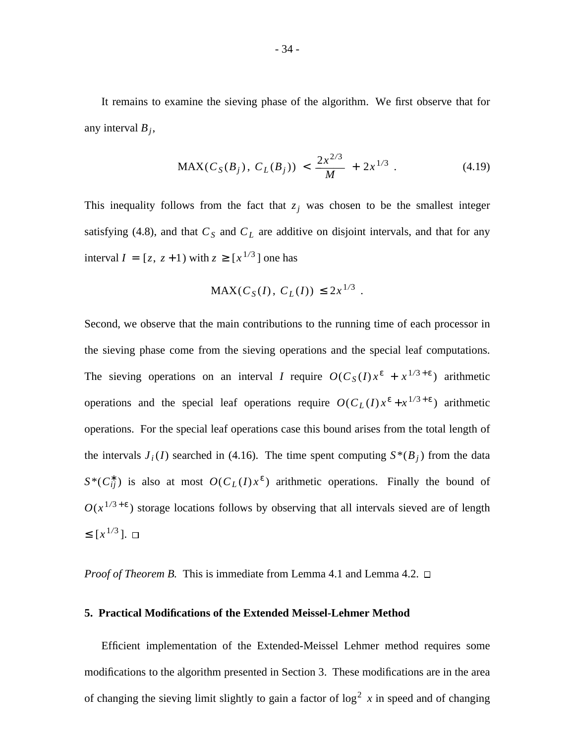It remains to examine the sieving phase of the algorithm. We first observe that for any interval *B<sup>j</sup>* ,

$$
\text{MAX}(C_S(B_j), C_L(B_j)) < \frac{2x^{2/3}}{M} + 2x^{1/3} \tag{4.19}
$$

This inequality follows from the fact that  $z_j$  was chosen to be the smallest integer satisfying (4.8), and that  $C<sub>S</sub>$  and  $C<sub>L</sub>$  are additive on disjoint intervals, and that for any interval  $I = [z, z+1)$  with  $z \geq [x^{1/3}]$  one has

$$
MAX(C_S(I), C_L(I)) \le 2x^{1/3}
$$
.

Second, we observe that the main contributions to the running time of each processor in the sieving phase come from the sieving operations and the special leaf computations. The sieving operations on an interval *I* require  $O(C_S(I)x^{\epsilon} + x^{1/3+\epsilon})$  arithmetic operations and the special leaf operations require  $O(C_L(I)x^{\epsilon} + x^{1/3+\epsilon})$  arithmetic operations. For the special leaf operations case this bound arises from the total length of the intervals  $J_i(I)$  searched in (4.16). The time spent computing  $S^*(B_j)$  from the data  $S^*(C^*_{ij})$  is also at most  $O(C_L(I)x^{\varepsilon})$  arithmetic operations. Finally the bound of  $O(x^{1/3+\epsilon})$  storage locations follows by observing that all intervals sieved are of length  $\leq [x^{1/3}]$ .

*Proof of Theorem B.* This is immediate from Lemma 4.1 and Lemma 4.2. □

#### **5. Practical Modifications of the Extended Meissel-Lehmer Method**

Efficient implementation of the Extended-Meissel Lehmer method requires some modifications to the algorithm presented in Section 3. These modifications are in the area of changing the sieving limit slightly to gain a factor of  $\log^2 x$  in speed and of changing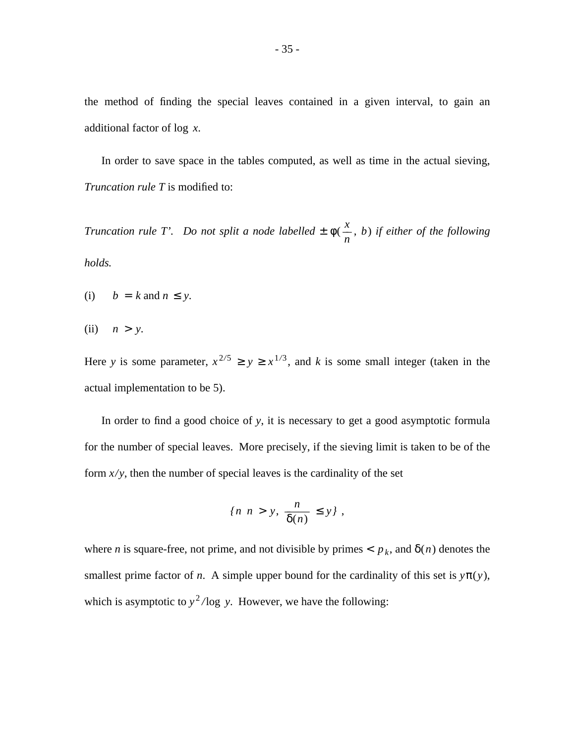the method of finding the special leaves contained in a given interval, to gain an additional factor of log *x*.

In order to save space in the tables computed, as well as time in the actual sieving, *Truncation rule T* is modified to:

*Truncation rule T'. Do not split a node labelled* ± φ( *n*  $\frac{x}{x}$ , *b*) *if either of the following holds.*

- (i)  $b = k$  and  $n \leq y$ .
- (ii)  $n > y$ .

Here *y* is some parameter,  $x^{2/5} \ge y \ge x^{1/3}$ , and *k* is some small integer (taken in the actual implementation to be 5).

In order to find a good choice of *y*, it is necessary to get a good asymptotic formula for the number of special leaves. More precisely, if the sieving limit is taken to be of the form  $x/y$ , then the number of special leaves is the cardinality of the set

$$
\{n \mid n > y, \frac{n}{\delta(n)} \le y \},
$$

where *n* is square-free, not prime, and not divisible by primes  $p_k$ , and  $\delta(n)$  denotes the smallest prime factor of *n*. A simple upper bound for the cardinality of this set is  $y\pi(y)$ , which is asymptotic to  $y^2$ /log *y*. However, we have the following: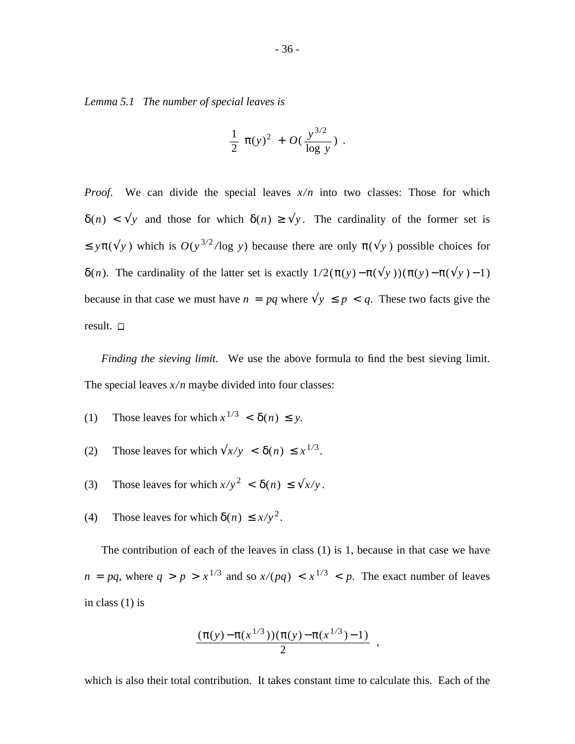*Lemma 5.1 The number of special leaves is*

$$
\frac{1}{2} \pi(y)^2 + O(\frac{y^{3/2}}{\log y}) \ .
$$

*Proof.* We can divide the special leaves  $x/n$  into two classes: Those for which  $\delta(n) < \sqrt[n]{y}$  and those for which  $\delta(n) \ge \sqrt[n]{y}$ . The cardinality of the former set is  $\leq y\pi(\sqrt{y})$  which is  $O(y^{3/2}/\log y)$  because there are only  $\pi(\sqrt{y})$  possible choices for δ(*n*). The cardinality of the latter set is exactly  $1/2(\pi(y) - \pi(\sqrt{y)}) (\pi(y) - \pi(\sqrt{y}) - 1)$ because in that case we must have  $n = pq$  where  $\sqrt{y} \leq p < q$ . These two facts give the result.

*Finding the sieving limit.* We use the above formula to find the best sieving limit. The special leaves  $x/n$  maybe divided into four classes:

- (1) Those leaves for which  $x^{1/3} < \delta(n) \leq y$ .
- (2) Those leaves for which  $\sqrt{x/y} < \delta(n) \leq x^{1/3}$ .
- (3) Those leaves for which  $x/y^2 < \delta(n) \le \sqrt{\sqrt{x/y}}$ .
- (4) Those leaves for which  $\delta(n) \leq x/y^2$ .

The contribution of each of the leaves in class (1) is 1, because in that case we have  $n = pq$ , where  $q > p > x^{1/3}$  and so  $x/(pq) < x^{1/3} < p$ . The exact number of leaves in class (1) is

$$
\frac{(\pi(y)-\pi(x^{1/3}))(\pi(y)-\pi(x^{1/3})-1)}{2},
$$

which is also their total contribution. It takes constant time to calculate this. Each of the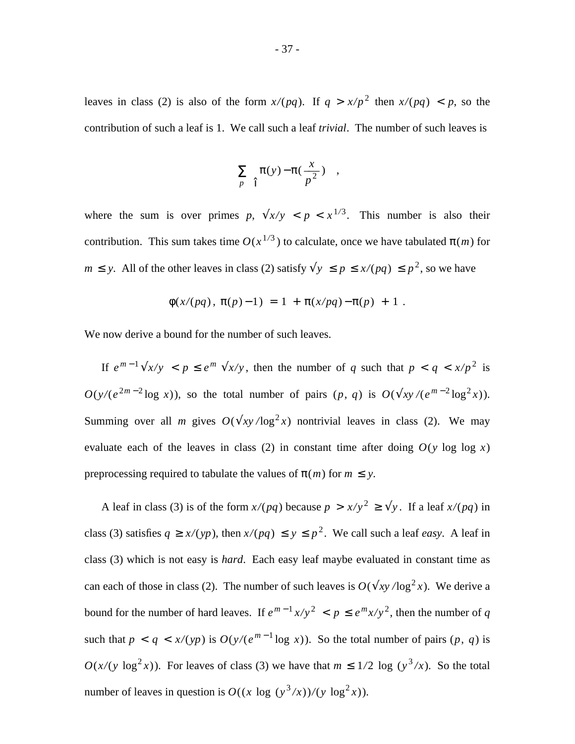leaves in class (2) is also of the form  $x/(pq)$ . If  $q > x/p^2$  then  $x/(pq) < p$ , so the contribution of such a leaf is 1. We call such a leaf *trivial*. The number of such leaves is

$$
\sum_{p} \left\{ \pi(y) - \pi\left(\frac{x}{p^2}\right) \right\} ,
$$

where the sum is over primes  $p$ ,  $\sqrt{x/y} < p < x^{1/3}$ . This number is also their contribution. This sum takes time  $O(x^{1/3})$  to calculate, once we have tabulated  $\pi(m)$  for *m* ≤ *y*. All of the other leaves in class (2) satisfy  $\sqrt{y}$  ≤  $p$  ≤  $x/(pq)$  ≤  $p^2$ , so we have

$$
\phi(x/(pq), \pi(p)-1) = 1 + \pi(x/pq) - \pi(p) + 1.
$$

We now derive a bound for the number of such leaves.

If  $e^{m-1}\sqrt{x/y} < p \leq e^m \sqrt{x/y}$ , then the number of *q* such that  $p < q < x/p^2$  is  $O(y/(e^{2m-2}\log x))$ , so the total number of pairs  $(p, q)$  is  $O(\sqrt{xy}/(e^{m-2}\log^2 x))$ . Summing over all *m* gives  $O(\sqrt{xy/\log^2 x})$  nontrivial leaves in class (2). We may evaluate each of the leaves in class (2) in constant time after doing  $O(y \log \log x)$ preprocessing required to tabulate the values of  $\pi(m)$  for  $m \leq y$ .

A leaf in class (3) is of the form  $x/(pq)$  because  $p > x/y^2 \ge \sqrt{y}$ . If a leaf  $x/(pq)$  in class (3) satisfies  $q \ge x/(yp)$ , then  $x/(pq) \le y \le p^2$ . We call such a leaf *easy*. A leaf in class (3) which is not easy is *hard*. Each easy leaf maybe evaluated in constant time as can each of those in class (2). The number of such leaves is  $O(\sqrt{xy/\log^2 x})$ . We derive a bound for the number of hard leaves. If  $e^{m-1}x/y^2 < p \le e^m x/y^2$ , then the number of q such that  $p < q < x/(yp)$  is  $O(y/(e^{m-1} \log x))$ . So the total number of pairs  $(p, q)$  is  $O(x/(y \log^2 x))$ . For leaves of class (3) we have that  $m \leq 1/2 \log (y^3/x)$ . So the total number of leaves in question is  $O((x \log (y^3/x))/(y \log^2 x))$ .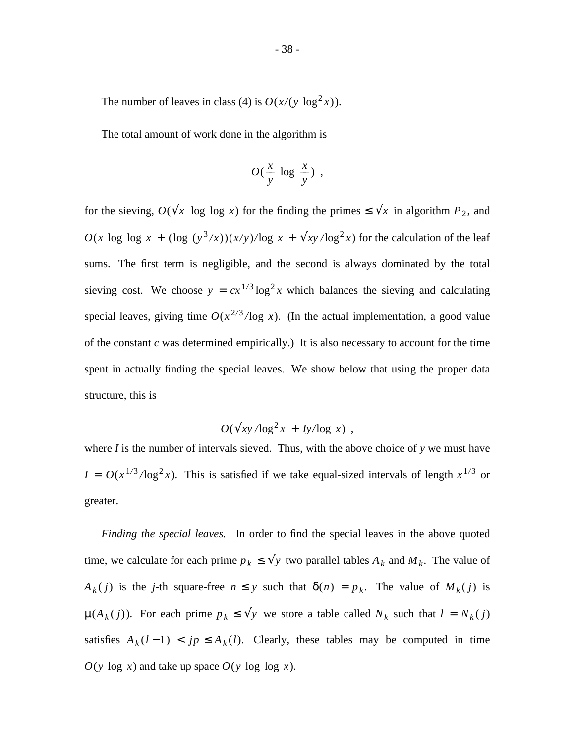The number of leaves in class (4) is  $O(x/(y \log^2 x))$ .

The total amount of work done in the algorithm is

$$
O(\frac{x}{y} \log \frac{x}{y}) ,
$$

for the sieving,  $O(\sqrt{x} \log \log x)$  for the finding the primes  $\leq \sqrt{x}$  in algorithm  $P_2$ , and  $O(x \log \log x + (\log (y^3/x))(x/y)/\log x + \sqrt{xy/\log^2 x}$  for the calculation of the leaf sums. The first term is negligible, and the second is always dominated by the total sieving cost. We choose  $y = cx^{1/3} \log^2 x$  which balances the sieving and calculating special leaves, giving time  $O(x^{2/3}/\log x)$ . (In the actual implementation, a good value of the constant *c* was determined empirically.) It is also necessary to account for the time spent in actually finding the special leaves. We show below that using the proper data structure, this is

$$
O(\sqrt{xy/\log^2 x} + Iy/\log x) ,
$$

where *I* is the number of intervals sieved. Thus, with the above choice of *y* we must have  $I = O(x^{1/3}/\log^2 x)$ . This is satisfied if we take equal-sized intervals of length  $x^{1/3}$  or greater.

*Finding the special leaves.* In order to find the special leaves in the above quoted time, we calculate for each prime  $p_k \leq \sqrt{y}$  two parallel tables  $A_k$  and  $M_k$ . The value of *A*<sub>*k*</sub>(*j*) is the *j*-th square-free  $n \leq y$  such that  $\delta(n) = p_k$ . The value of  $M_k(j)$  is  $\mu(A_k(j))$ . For each prime  $p_k \leq \sqrt{y}$  we store a table called  $N_k$  such that  $l = N_k(j)$ satisfies  $A_k(l-1) < j \neq A_k(l)$ . Clearly, these tables may be computed in time  $O(y \log x)$  and take up space  $O(y \log \log x)$ .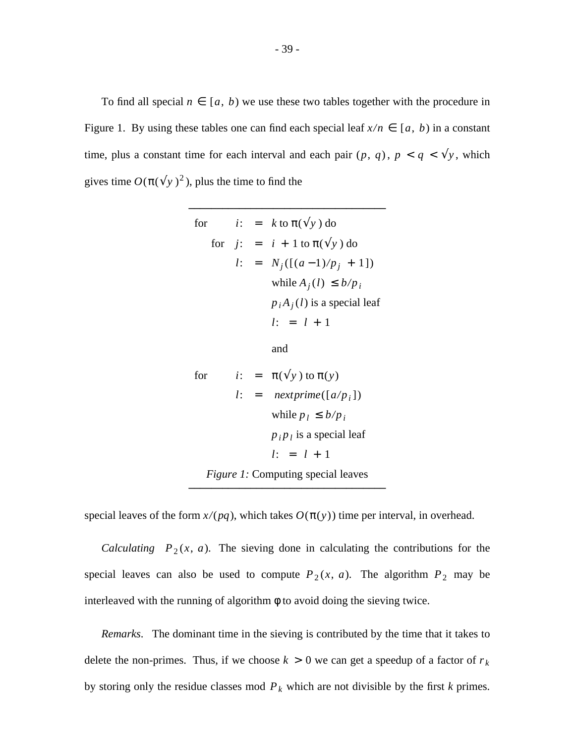To find all special  $n \in [a, b)$  we use these two tables together with the procedure in Figure 1. By using these tables one can find each special leaf  $x/n \in [a, b)$  in a constant time, plus a constant time for each interval and each pair  $(p, q)$ ,  $p < q < \sqrt{y}$ , which gives time  $O(\pi(\sqrt{y})^2)$ , plus the time to find the

\_\_\_\_\_\_\_\_\_\_\_\_\_\_\_\_\_\_\_\_\_\_\_\_\_\_\_\_\_\_\_\_\_\_\_

$$
\begin{bmatrix}\n\text{for} & i: &= k \text{ to } \pi(\sqrt[4]{y}) \text{ do} \\
\text{for} & j: &= i + 1 \text{ to } \pi(\sqrt[4]{y}) \text{ do} \\
l: &= N_j([(a-1)/p_j + 1]) \\
\text{while } A_j(l) \le b/p_i \\
p_iA_j(l) \text{ is a special leaf} \\
l: &= l + 1 \\
\text{and} \\
\text{for} & i: &= \pi(\sqrt[4]{y}) \text{ to } \pi(y) \\
l: &= \text{nextprime}[(a/p_i]) \\
\text{while } p_l \le b/p_i \\
p_i p_l \text{ is a special leaf} \\
l: &= l + 1 \\
\text{Figure 1: Computing special leaves}\n\end{bmatrix}
$$

special leaves of the form  $x/(pq)$ , which takes  $O(\pi(y))$  time per interval, in overhead.

*Calculating*  $P_2(x, a)$ . The sieving done in calculating the contributions for the special leaves can also be used to compute  $P_2(x, a)$ . The algorithm  $P_2$  may be interleaved with the running of algorithm  $\phi$  to avoid doing the sieving twice.

*Remarks*. The dominant time in the sieving is contributed by the time that it takes to delete the non-primes. Thus, if we choose  $k > 0$  we can get a speedup of a factor of  $r_k$ by storing only the residue classes mod  $P_k$  which are not divisible by the first  $k$  primes.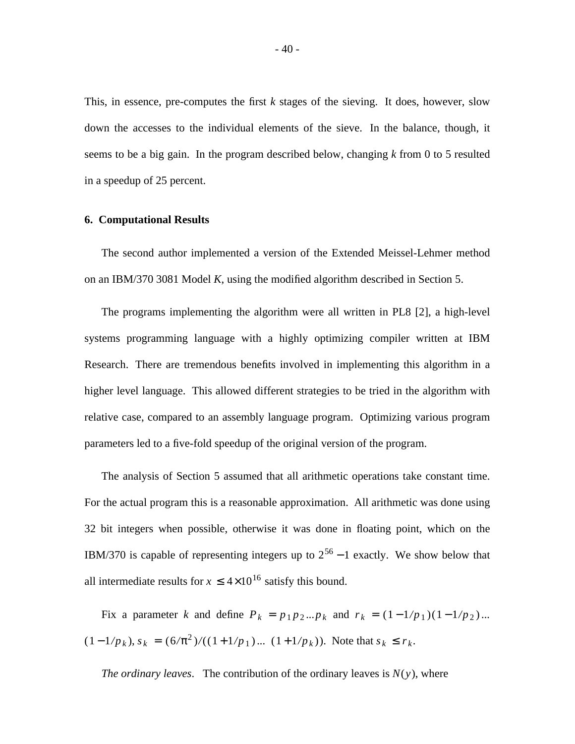This, in essence, pre-computes the first *k* stages of the sieving. It does, however, slow down the accesses to the individual elements of the sieve. In the balance, though, it seems to be a big gain. In the program described below, changing *k* from 0 to 5 resulted in a speedup of 25 percent.

### **6. Computational Results**

The second author implemented a version of the Extended Meissel-Lehmer method on an IBM/370 3081 Model *K*, using the modified algorithm described in Section 5.

The programs implementing the algorithm were all written in PL8 [2], a high-level systems programming language with a highly optimizing compiler written at IBM Research. There are tremendous benefits involved in implementing this algorithm in a higher level language. This allowed different strategies to be tried in the algorithm with relative case, compared to an assembly language program. Optimizing various program parameters led to a five-fold speedup of the original version of the program.

The analysis of Section 5 assumed that all arithmetic operations take constant time. For the actual program this is a reasonable approximation. All arithmetic was done using 32 bit integers when possible, otherwise it was done in floating point, which on the IBM/370 is capable of representing integers up to  $2^{56} - 1$  exactly. We show below that all intermediate results for  $x \le 4 \times 10^{16}$  satisfy this bound.

Fix a parameter *k* and define  $P_k = p_1 p_2 ... p_k$  and  $r_k = (1 - 1/p_1)(1 - 1/p_2)...$  $(1 - 1/p_k)$ ,  $s_k = (6/\pi^2) / ((1 + 1/p_1) ... (1 + 1/p_k))$ . Note that  $s_k \le r_k$ .

*The ordinary leaves.* The contribution of the ordinary leaves is  $N(y)$ , where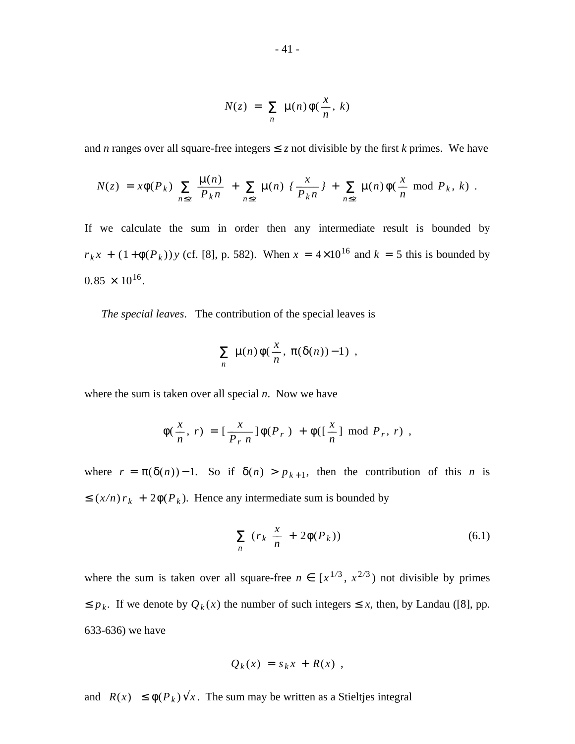$$
N(z) = \sum_{n} \mu(n) \phi(\frac{x}{n}, k)
$$

and *n* ranges over all square-free integers  $\le z$  not divisible by the first *k* primes. We have

$$
N(z) = x\phi(P_k) \sum_{n \leq z} \frac{\mu(n)}{P_k n} + \sum_{n \leq z} \mu(n) \left\{ \frac{x}{P_k n} \right\} + \sum_{n \leq z} \mu(n) \phi(\frac{x}{n} \mod P_k, k).
$$

If we calculate the sum in order then any intermediate result is bounded by  $r_k x + (1 + \phi(P_k)) y$  (cf. [8], p. 582). When  $x = 4 \times 10^{16}$  and  $k = 5$  this is bounded by  $0.85 \times 10^{16}$ .

*The special leaves*. The contribution of the special leaves is

$$
\sum_{n} \mu(n) \phi(\frac{x}{n}, \pi(\delta(n)) - 1) ,
$$

where the sum is taken over all special *n*. Now we have

$$
\phi(\frac{x}{n}, r) = \left[\frac{x}{P_r n}\right] \phi(P_r) + \phi(\left[\frac{x}{n}\right] \bmod P_r, r) ,
$$

where  $r = \pi(\delta(n)) - 1$ . So if  $\delta(n) > p_{k+1}$ , then the contribution of this *n* is  $\leq (x/n) r_k + 2\phi(P_k)$ . Hence any intermediate sum is bounded by

$$
\sum_{n} (r_k \frac{x}{n} + 2\phi(P_k)) \tag{6.1}
$$

where the sum is taken over all square-free  $n \in [x^{1/3}, x^{2/3})$  not divisible by primes  $\leq p_k$ . If we denote by  $Q_k(x)$  the number of such integers  $\leq x$ , then, by Landau ([8], pp. 633-636) we have

$$
Q_k(x) = s_k x + R(x) ,
$$

and  $|R(x)| \leq \phi(P_k) \sqrt{x}$ . The sum may be written as a Stieltjes integral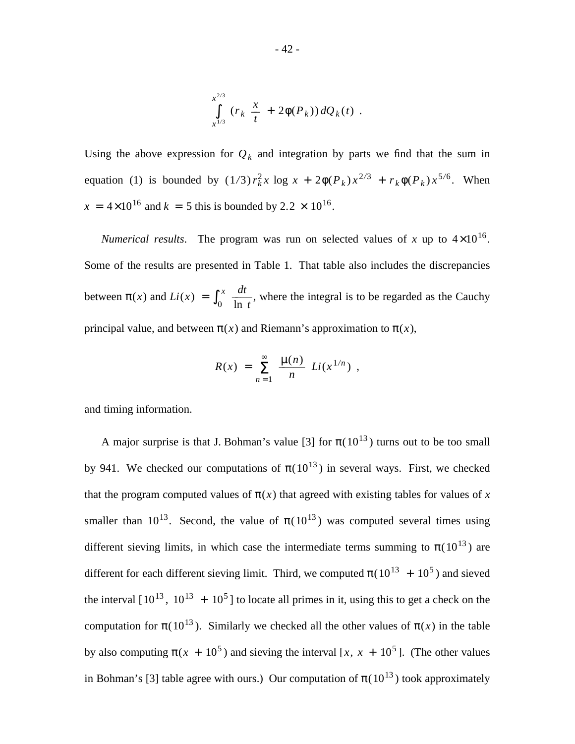$$
\int_{x^{1/3}}^{x^{2/3}} (r_k \frac{x}{t} + 2\phi(P_k)) dQ_k(t) .
$$

Using the above expression for  $Q_k$  and integration by parts we find that the sum in equation (1) is bounded by  $(1/3) r_k^2 x \log x + 2\phi(P_k) x^{2/3} + r_k \phi(P_k) x^{5/6}$ . When  $x = 4 \times 10^{16}$  and  $k = 5$  this is bounded by 2.2  $\times$  10<sup>16</sup>.

*Numerical results*. The program was run on selected values of x up to  $4\times10^{16}$ . Some of the results are presented in Table 1. That table also includes the discrepancies between  $\pi(x)$  and  $Li(x) = \int_0^{\pi}$ *x* ln *t*  $\frac{dt}{dt}$ , where the integral is to be regarded as the Cauchy principal value, and between  $\pi(x)$  and Riemann's approximation to  $\pi(x)$ ,

$$
R(x) = \sum_{n=1}^{\infty} \frac{\mu(n)}{n} Li(x^{1/n}),
$$

and timing information.

A major surprise is that J. Bohman's value [3] for  $\pi(10^{13})$  turns out to be too small by 941. We checked our computations of  $\pi(10^{13})$  in several ways. First, we checked that the program computed values of  $\pi(x)$  that agreed with existing tables for values of x smaller than  $10^{13}$ . Second, the value of  $\pi(10^{13})$  was computed several times using different sieving limits, in which case the intermediate terms summing to  $\pi(10^{13})$  are different for each different sieving limit. Third, we computed  $\pi (10^{13} + 10^5)$  and sieved the interval  $[10^{13}, 10^{13} + 10^5]$  to locate all primes in it, using this to get a check on the computation for  $\pi(10^{13})$ . Similarly we checked all the other values of  $\pi(x)$  in the table by also computing  $\pi(x + 10^5)$  and sieving the interval [x, x + 10<sup>5</sup>]. (The other values in Bohman's [3] table agree with ours.) Our computation of  $\pi(10^{13})$  took approximately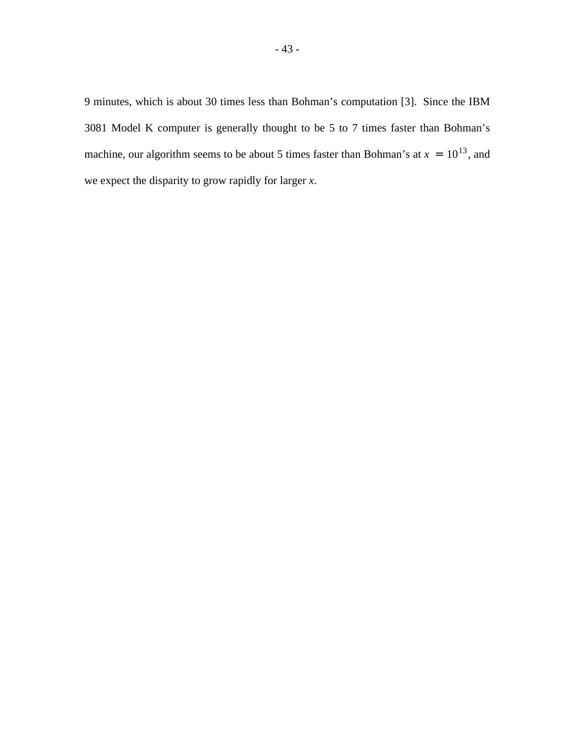9 minutes, which is about 30 times less than Bohman's computation [3]. Since the IBM 3081 Model K computer is generally thought to be 5 to 7 times faster than Bohman's machine, our algorithm seems to be about 5 times faster than Bohman's at  $x = 10^{13}$ , and we expect the disparity to grow rapidly for larger *x*.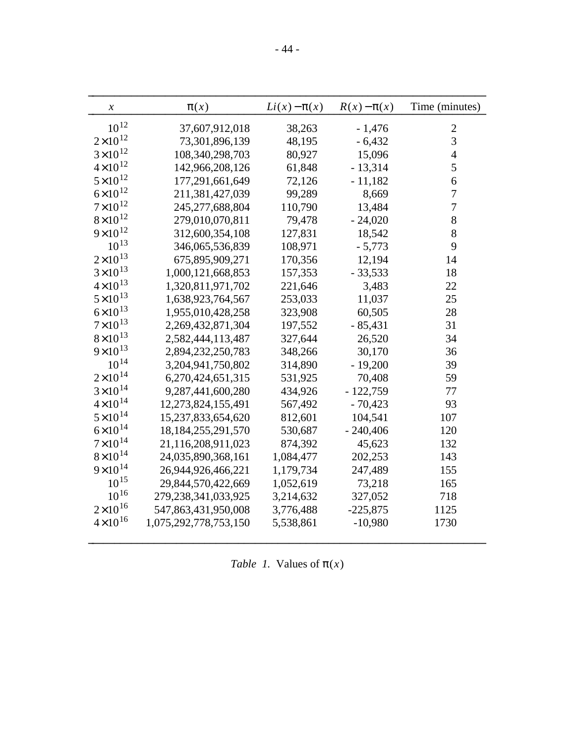| $\chi$             | $\pi(x)$                | $Li(x) - \pi(x)$ | $R(x)-\pi(x)$ | Time (minutes) |
|--------------------|-------------------------|------------------|---------------|----------------|
| $10^{12}$          | 37,607,912,018          | 38,263           | $-1,476$      | $\overline{2}$ |
| $2{\times}10^{12}$ | 73,301,896,139          | 48,195           | $-6,432$      | $\overline{3}$ |
| $3 \times 10^{12}$ | 108,340,298,703         | 80,927           | 15,096        | $\overline{4}$ |
| $4 \times 10^{12}$ | 142,966,208,126         | 61,848           | $-13,314$     | 5              |
| $5 \times 10^{12}$ | 177,291,661,649         | 72,126           | $-11,182$     | 6              |
| $6 \times 10^{12}$ | 211,381,427,039         | 99,289           | 8,669         | $\overline{7}$ |
| $7 \times 10^{12}$ | 245,277,688,804         | 110,790          | 13,484        | $\overline{7}$ |
| $8\times10^{12}$   | 279,010,070,811         | 79,478           | $-24,020$     | 8              |
| $9 \times 10^{12}$ | 312,600,354,108         | 127,831          | 18,542        | 8              |
| $10^{13}$          | 346,065,536,839         | 108,971          | $-5,773$      | 9              |
| $2\times10^{13}$   | 675,895,909,271         | 170,356          | 12,194        | 14             |
| $3 \times 10^{13}$ | 1,000,121,668,853       | 157,353          | $-33,533$     | 18             |
| $4 \times 10^{13}$ | 1,320,811,971,702       | 221,646          | 3,483         | 22             |
| $5 \times 10^{13}$ | 1,638,923,764,567       | 253,033          | 11,037        | 25             |
| $6 \times 10^{13}$ | 1,955,010,428,258       | 323,908          | 60,505        | 28             |
| $7 \times 10^{13}$ | 2,269,432,871,304       | 197,552          | $-85,431$     | 31             |
| $8 \times 10^{13}$ | 2,582,444,113,487       | 327,644          | 26,520        | 34             |
| $9 \times 10^{13}$ | 2,894,232,250,783       | 348,266          | 30,170        | 36             |
| $10^{14}$          | 3,204,941,750,802       | 314,890          | $-19,200$     | 39             |
| $2 \times 10^{14}$ | 6,270,424,651,315       | 531,925          | 70,408        | 59             |
| $3 \times 10^{14}$ | 9,287,441,600,280       | 434,926          | $-122,759$    | 77             |
| $4 \times 10^{14}$ | 12,273,824,155,491      | 567,492          | $-70,423$     | 93             |
| $5 \times 10^{14}$ | 15,237,833,654,620      | 812,601          | 104,541       | 107            |
| $6 \times 10^{14}$ | 18, 184, 255, 291, 570  | 530,687          | $-240,406$    | 120            |
| $7 \times 10^{14}$ | 21,116,208,911,023      | 874,392          | 45,623        | 132            |
| $8 \times 10^{14}$ | 24,035,890,368,161      | 1,084,477        | 202,253       | 143            |
| $9 \times 10^{14}$ | 26,944,926,466,221      | 1,179,734        | 247,489       | 155            |
| $10^{15}$          | 29,844,570,422,669      | 1,052,619        | 73,218        | 165            |
| $10^{16}$          | 279, 238, 341, 033, 925 | 3,214,632        | 327,052       | 718            |
| $2 \times 10^{16}$ | 547,863,431,950,008     | 3,776,488        | $-225,875$    | 1125           |
| $4 \times 10^{16}$ | 1,075,292,778,753,150   | 5,538,861        | $-10,980$     | 1730           |
|                    |                         |                  |               |                |

|  |  | Table 1. Values of $\pi(x)$ |  |  |  |  |
|--|--|-----------------------------|--|--|--|--|
|--|--|-----------------------------|--|--|--|--|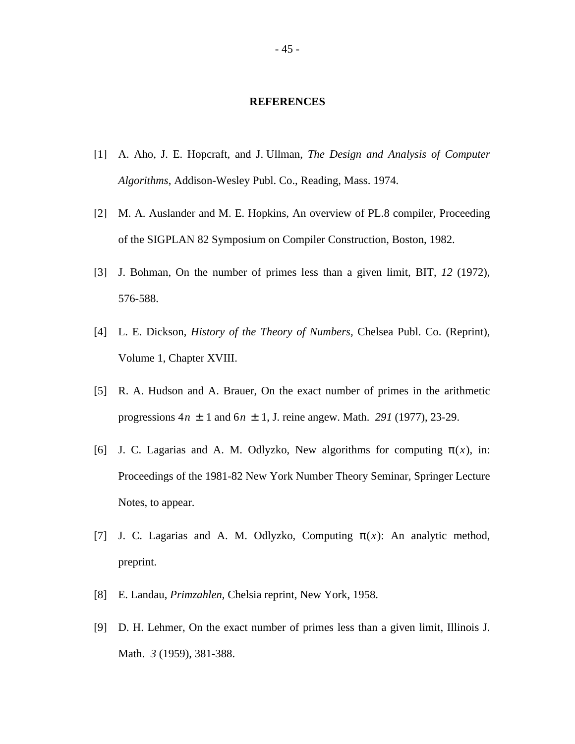#### **REFERENCES**

- [1] A. Aho, J. E. Hopcraft, and J. Ullman, *The Design and Analysis of Computer Algorithms*, Addison-Wesley Publ. Co., Reading, Mass. 1974.
- [2] M. A. Auslander and M. E. Hopkins, An overview of PL.8 compiler, Proceeding of the SIGPLAN 82 Symposium on Compiler Construction, Boston, 1982.
- [3] J. Bohman, On the number of primes less than a given limit, BIT, *12* (1972), 576-588.
- [4] L. E. Dickson, *History of the Theory of Numbers,* Chelsea Publ. Co. (Reprint), Volume 1, Chapter XVIII.
- [5] R. A. Hudson and A. Brauer, On the exact number of primes in the arithmetic progressions 4*n* ± 1 and 6*n* ± 1, J. reine angew. Math. *291* (1977), 23-29.
- [6] J. C. Lagarias and A. M. Odlyzko, New algorithms for computing  $\pi(x)$ , in: Proceedings of the 1981-82 New York Number Theory Seminar, Springer Lecture Notes, to appear.
- [7] J. C. Lagarias and A. M. Odlyzko, Computing  $\pi(x)$ : An analytic method, preprint.
- [8] E. Landau, *Primzahlen,* Chelsia reprint, New York, 1958.
- [9] D. H. Lehmer, On the exact number of primes less than a given limit, Illinois J. Math. *3* (1959), 381-388.